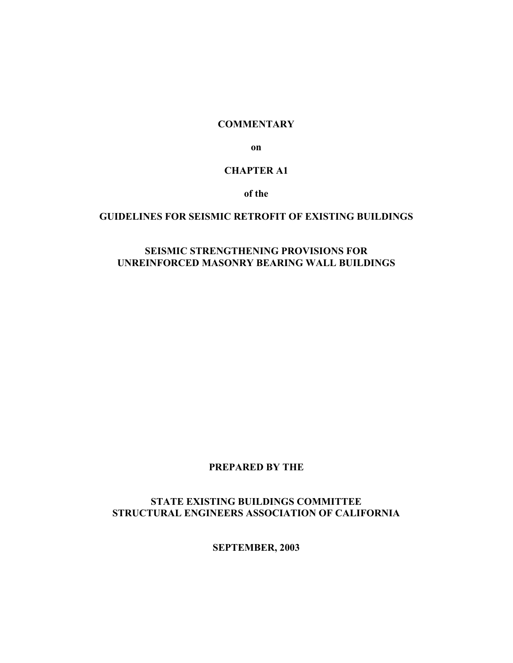#### **COMMENTARY**

**on**

#### **CHAPTER A1**

**of the**

#### **GUIDELINES FOR SEISMIC RETROFIT OF EXISTING BUILDINGS**

#### **SEISMIC STRENGTHENING PROVISIONS FOR UNREINFORCED MASONRY BEARING WALL BUILDINGS**

#### **PREPARED BY THE**

## **STATE EXISTING BUILDINGS COMMITTEE STRUCTURAL ENGINEERS ASSOCIATION OF CALIFORNIA**

**SEPTEMBER, 2003**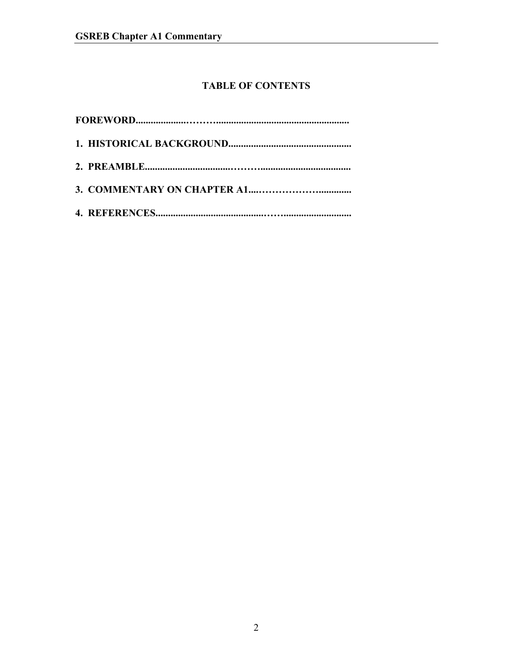# **TABLE OF CONTENTS**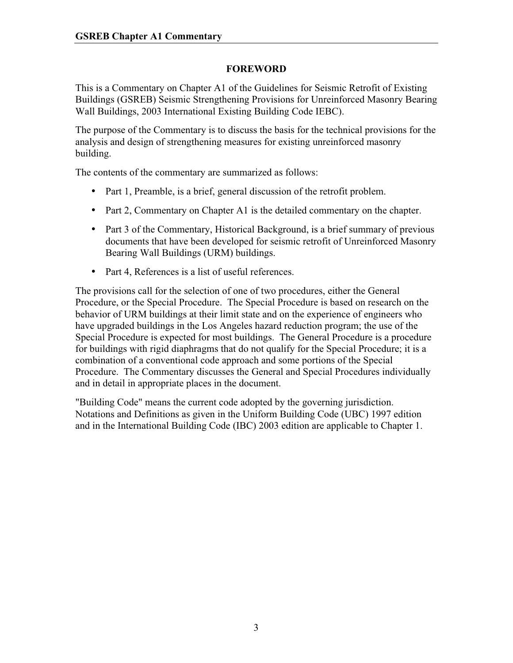## **FOREWORD**

This is a Commentary on Chapter A1 of the Guidelines for Seismic Retrofit of Existing Buildings (GSREB) Seismic Strengthening Provisions for Unreinforced Masonry Bearing Wall Buildings, 2003 International Existing Building Code IEBC).

The purpose of the Commentary is to discuss the basis for the technical provisions for the analysis and design of strengthening measures for existing unreinforced masonry building.

The contents of the commentary are summarized as follows:

- Part 1, Preamble, is a brief, general discussion of the retrofit problem.
- Part 2, Commentary on Chapter A1 is the detailed commentary on the chapter.
- Part 3 of the Commentary, Historical Background, is a brief summary of previous documents that have been developed for seismic retrofit of Unreinforced Masonry Bearing Wall Buildings (URM) buildings.
- Part 4, References is a list of useful references.

The provisions call for the selection of one of two procedures, either the General Procedure, or the Special Procedure. The Special Procedure is based on research on the behavior of URM buildings at their limit state and on the experience of engineers who have upgraded buildings in the Los Angeles hazard reduction program; the use of the Special Procedure is expected for most buildings. The General Procedure is a procedure for buildings with rigid diaphragms that do not qualify for the Special Procedure; it is a combination of a conventional code approach and some portions of the Special Procedure. The Commentary discusses the General and Special Procedures individually and in detail in appropriate places in the document.

"Building Code" means the current code adopted by the governing jurisdiction. Notations and Definitions as given in the Uniform Building Code (UBC) 1997 edition and in the International Building Code (IBC) 2003 edition are applicable to Chapter 1.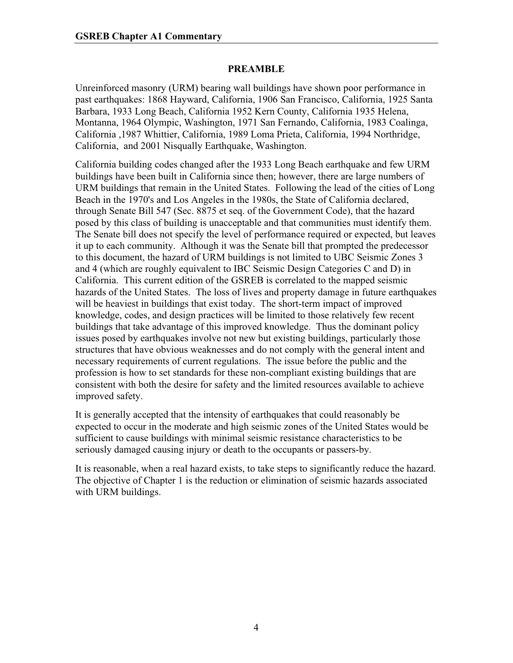### **PREAMBLE**

Unreinforced masonry (URM) bearing wall buildings have shown poor performance in past earthquakes: 1868 Hayward, California, 1906 San Francisco, California, 1925 Santa Barbara, 1933 Long Beach, California 1952 Kern County, California 1935 Helena, Montanna, 1964 Olympic, Washington, 1971 San Fernando, California, 1983 Coalinga, California ,1987 Whittier, California, 1989 Loma Prieta, California, 1994 Northridge, California, and 2001 Nisqually Earthquake, Washington.

California building codes changed after the 1933 Long Beach earthquake and few URM buildings have been built in California since then; however, there are large numbers of URM buildings that remain in the United States. Following the lead of the cities of Long Beach in the 1970's and Los Angeles in the 1980s, the State of California declared, through Senate Bill 547 (Sec. 8875 et seq. of the Government Code), that the hazard posed by this class of building is unacceptable and that communities must identify them. The Senate bill does not specify the level of performance required or expected, but leaves it up to each community. Although it was the Senate bill that prompted the predecessor to this document, the hazard of URM buildings is not limited to UBC Seismic Zones 3 and 4 (which are roughly equivalent to IBC Seismic Design Categories C and D) in California. This current edition of the GSREB is correlated to the mapped seismic hazards of the United States. The loss of lives and property damage in future earthquakes will be heaviest in buildings that exist today. The short-term impact of improved knowledge, codes, and design practices will be limited to those relatively few recent buildings that take advantage of this improved knowledge. Thus the dominant policy issues posed by earthquakes involve not new but existing buildings, particularly those structures that have obvious weaknesses and do not comply with the general intent and necessary requirements of current regulations. The issue before the public and the profession is how to set standards for these non-compliant existing buildings that are consistent with both the desire for safety and the limited resources available to achieve improved safety.

It is generally accepted that the intensity of earthquakes that could reasonably be expected to occur in the moderate and high seismic zones of the United States would be sufficient to cause buildings with minimal seismic resistance characteristics to be seriously damaged causing injury or death to the occupants or passers-by.

It is reasonable, when a real hazard exists, to take steps to significantly reduce the hazard. The objective of Chapter 1 is the reduction or elimination of seismic hazards associated with URM buildings.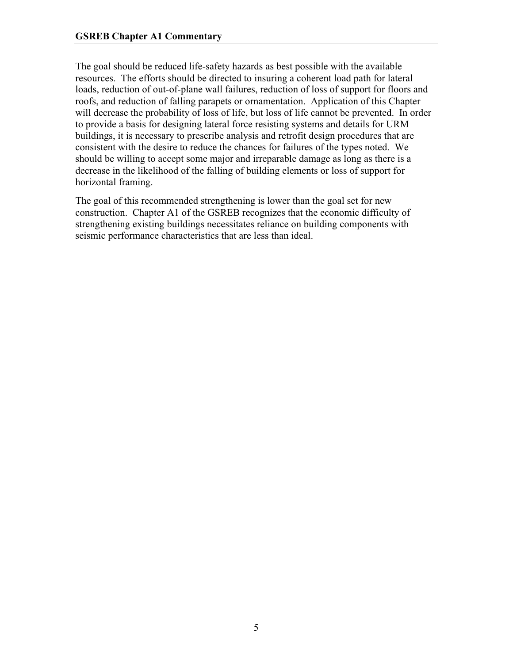The goal should be reduced life-safety hazards as best possible with the available resources. The efforts should be directed to insuring a coherent load path for lateral loads, reduction of out-of-plane wall failures, reduction of loss of support for floors and roofs, and reduction of falling parapets or ornamentation. Application of this Chapter will decrease the probability of loss of life, but loss of life cannot be prevented. In order to provide a basis for designing lateral force resisting systems and details for URM buildings, it is necessary to prescribe analysis and retrofit design procedures that are consistent with the desire to reduce the chances for failures of the types noted. We should be willing to accept some major and irreparable damage as long as there is a decrease in the likelihood of the falling of building elements or loss of support for horizontal framing.

The goal of this recommended strengthening is lower than the goal set for new construction. Chapter A1 of the GSREB recognizes that the economic difficulty of strengthening existing buildings necessitates reliance on building components with seismic performance characteristics that are less than ideal.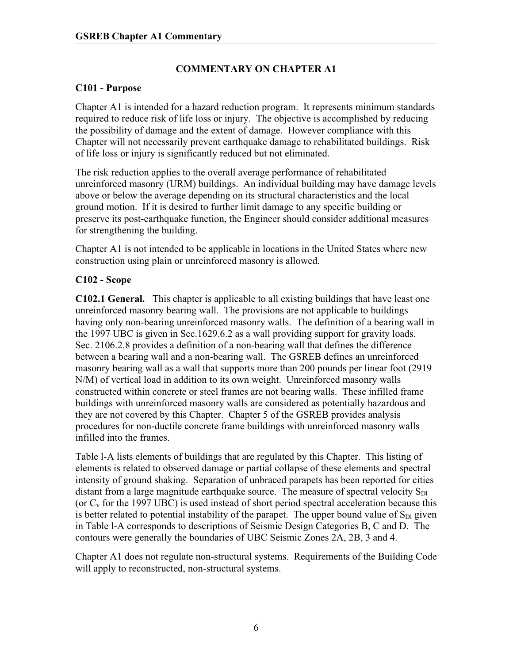# **COMMENTARY ON CHAPTER A1**

## **C101 - Purpose**

Chapter A1 is intended for a hazard reduction program. It represents minimum standards required to reduce risk of life loss or injury. The objective is accomplished by reducing the possibility of damage and the extent of damage. However compliance with this Chapter will not necessarily prevent earthquake damage to rehabilitated buildings. Risk of life loss or injury is significantly reduced but not eliminated.

The risk reduction applies to the overall average performance of rehabilitated unreinforced masonry (URM) buildings. An individual building may have damage levels above or below the average depending on its structural characteristics and the local ground motion. If it is desired to further limit damage to any specific building or preserve its post-earthquake function, the Engineer should consider additional measures for strengthening the building.

Chapter A1 is not intended to be applicable in locations in the United States where new construction using plain or unreinforced masonry is allowed.

# **C102 - Scope**

**C102.1 General.** This chapter is applicable to all existing buildings that have least one unreinforced masonry bearing wall. The provisions are not applicable to buildings having only non-bearing unreinforced masonry walls. The definition of a bearing wall in the 1997 UBC is given in Sec.1629.6.2 as a wall providing support for gravity loads. Sec. 2106.2.8 provides a definition of a non-bearing wall that defines the difference between a bearing wall and a non-bearing wall. The GSREB defines an unreinforced masonry bearing wall as a wall that supports more than 200 pounds per linear foot (2919 N/M) of vertical load in addition to its own weight. Unreinforced masonry walls constructed within concrete or steel frames are not bearing walls. These infilled frame buildings with unreinforced masonry walls are considered as potentially hazardous and they are not covered by this Chapter. Chapter 5 of the GSREB provides analysis procedures for non-ductile concrete frame buildings with unreinforced masonry walls infilled into the frames.

Table l-A lists elements of buildings that are regulated by this Chapter. This listing of elements is related to observed damage or partial collapse of these elements and spectral intensity of ground shaking. Separation of unbraced parapets has been reported for cities distant from a large magnitude earthquake source. The measure of spectral velocity  $S_{D1}$ (or  $C_v$  for the 1997 UBC) is used instead of short period spectral acceleration because this is better related to potential instability of the parapet. The upper bound value of  $S_{\text{DL}}$  given in Table l-A corresponds to descriptions of Seismic Design Categories B, C and D. The contours were generally the boundaries of UBC Seismic Zones 2A, 2B, 3 and 4.

Chapter A1 does not regulate non-structural systems. Requirements of the Building Code will apply to reconstructed, non-structural systems.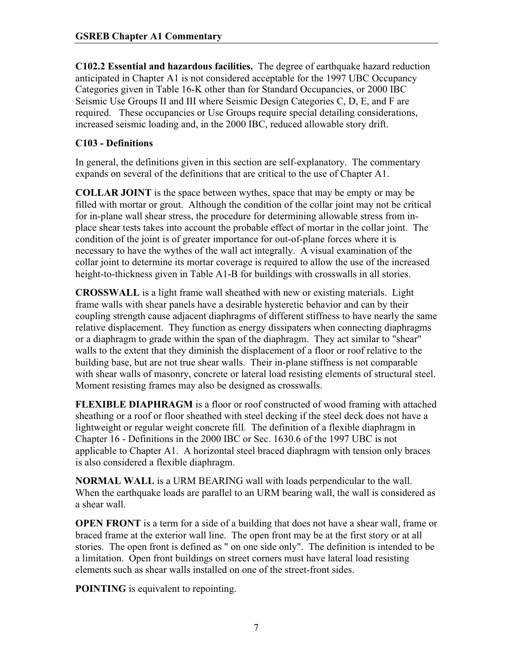**C102.2 Essential and hazardous facilities.** The degree of earthquake hazard reduction anticipated in Chapter A1 is not considered acceptable for the 1997 UBC Occupancy Categories given in Table 16-K other than for Standard Occupancies, or 2000 IBC Seismic Use Groups II and III where Seismic Design Categories C, D, E, and F are required. These occupancies or Use Groups require special detailing considerations, increased seismic loading and, in the 2000 IBC, reduced allowable story drift.

## **C103 - Definitions**

In general, the definitions given in this section are self-explanatory. The commentary expands on several of the definitions that are critical to the use of Chapter A1.

**COLLAR JOINT** is the space between wythes, space that may be empty or may be filled with mortar or grout. Although the condition of the collar joint may not be critical for in-plane wall shear stress, the procedure for determining allowable stress from inplace shear tests takes into account the probable effect of mortar in the collar joint. The condition of the joint is of greater importance for out-of-plane forces where it is necessary to have the wythes of the wall act integrally. A visual examination of the collar joint to determine its mortar coverage is required to allow the use of the increased height-to-thickness given in Table A1-B for buildings with crosswalls in all stories.

**CROSSWALL** is a light frame wall sheathed with new or existing materials. Light frame walls with shear panels have a desirable hysteretic behavior and can by their coupling strength cause adjacent diaphragms of different stiffness to have nearly the same relative displacement. They function as energy dissipaters when connecting diaphragms or a diaphragm to grade within the span of the diaphragm. They act similar to "shear" walls to the extent that they diminish the displacement of a floor or roof relative to the building base, but are not true shear walls. Their in-plane stiffness is not comparable with shear walls of masonry, concrete or lateral load resisting elements of structural steel. Moment resisting frames may also be designed as crosswalls.

**FLEXIBLE DIAPHRAGM** is a floor or roof constructed of wood framing with attached sheathing or a roof or floor sheathed with steel decking if the steel deck does not have a lightweight or regular weight concrete fill. The definition of a flexible diaphragm in Chapter 16 - Definitions in the 2000 IBC or Sec. 1630.6 of the 1997 UBC is not applicable to Chapter A1. A horizontal steel braced diaphragm with tension only braces is also considered a flexible diaphragm.

**NORMAL WALL** is a URM BEARING wall with loads perpendicular to the wall. When the earthquake loads are parallel to an URM bearing wall, the wall is considered as a shear wall.

**OPEN FRONT** is a term for a side of a building that does not have a shear wall, frame or braced frame at the exterior wall line. The open front may be at the first story or at all stories. The open front is defined as " on one side only". The definition is intended to be a limitation. Open front buildings on street corners must have lateral load resisting elements such as shear walls installed on one of the street-front sides.

**POINTING** is equivalent to repointing.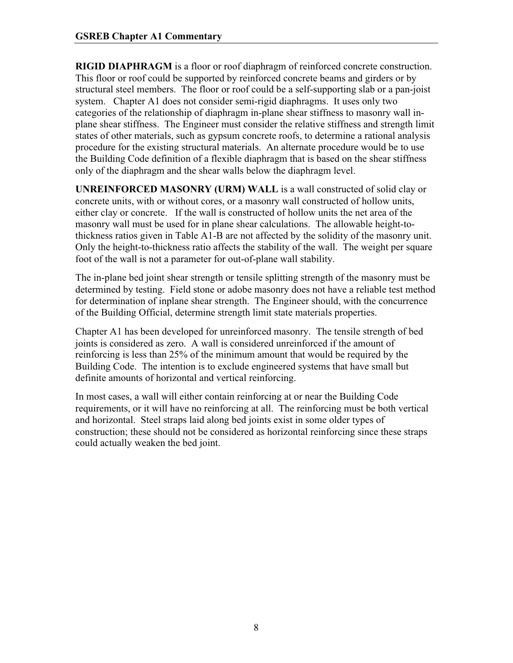**RIGID DIAPHRAGM** is a floor or roof diaphragm of reinforced concrete construction. This floor or roof could be supported by reinforced concrete beams and girders or by structural steel members. The floor or roof could be a self-supporting slab or a pan-joist system. Chapter A1 does not consider semi-rigid diaphragms. It uses only two categories of the relationship of diaphragm in-plane shear stiffness to masonry wall inplane shear stiffness. The Engineer must consider the relative stiffness and strength limit states of other materials, such as gypsum concrete roofs, to determine a rational analysis procedure for the existing structural materials. An alternate procedure would be to use the Building Code definition of a flexible diaphragm that is based on the shear stiffness only of the diaphragm and the shear walls below the diaphragm level.

**UNREINFORCED MASONRY (URM) WALL** is a wall constructed of solid clay or concrete units, with or without cores, or a masonry wall constructed of hollow units, either clay or concrete. If the wall is constructed of hollow units the net area of the masonry wall must be used for in plane shear calculations. The allowable height-tothickness ratios given in Table A1-B are not affected by the solidity of the masonry unit. Only the height-to-thickness ratio affects the stability of the wall. The weight per square foot of the wall is not a parameter for out-of-plane wall stability.

The in-plane bed joint shear strength or tensile splitting strength of the masonry must be determined by testing. Field stone or adobe masonry does not have a reliable test method for determination of inplane shear strength. The Engineer should, with the concurrence of the Building Official, determine strength limit state materials properties.

Chapter A1 has been developed for unreinforced masonry. The tensile strength of bed joints is considered as zero. A wall is considered unreinforced if the amount of reinforcing is less than 25% of the minimum amount that would be required by the Building Code. The intention is to exclude engineered systems that have small but definite amounts of horizontal and vertical reinforcing.

In most cases, a wall will either contain reinforcing at or near the Building Code requirements, or it will have no reinforcing at all. The reinforcing must be both vertical and horizontal. Steel straps laid along bed joints exist in some older types of construction; these should not be considered as horizontal reinforcing since these straps could actually weaken the bed joint.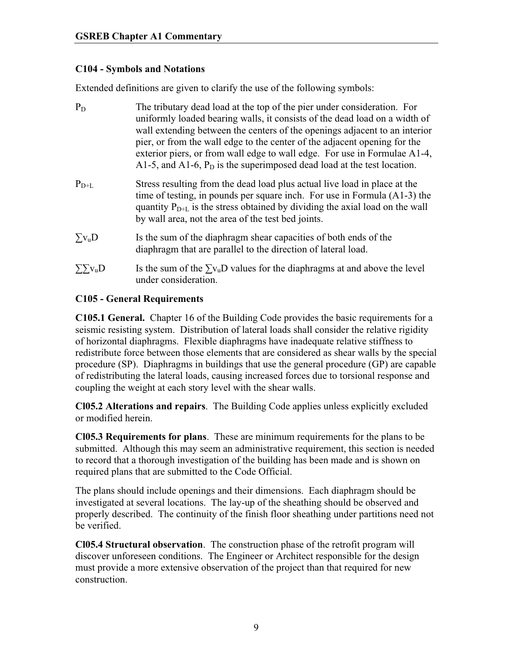## **C104 - Symbols and Notations**

Extended definitions are given to clarify the use of the following symbols:

| $P_D$                     | The tributary dead load at the top of the pier under consideration. For<br>uniformly loaded bearing walls, it consists of the dead load on a width of<br>wall extending between the centers of the openings adjacent to an interior<br>pier, or from the wall edge to the center of the adjacent opening for the<br>exterior piers, or from wall edge to wall edge. For use in Formulae A1-4,<br>A1-5, and A1-6, $P_D$ is the superimposed dead load at the test location. |
|---------------------------|----------------------------------------------------------------------------------------------------------------------------------------------------------------------------------------------------------------------------------------------------------------------------------------------------------------------------------------------------------------------------------------------------------------------------------------------------------------------------|
| $P_{D+L}$                 | Stress resulting from the dead load plus actual live load in place at the<br>time of testing, in pounds per square inch. For use in Formula (A1-3) the<br>quantity $P_{D+L}$ is the stress obtained by dividing the axial load on the wall<br>by wall area, not the area of the test bed joints.                                                                                                                                                                           |
| $\Sigma v$ <sub>u</sub> D | Is the sum of the diaphragm shear capacities of both ends of the<br>diaphragm that are parallel to the direction of lateral load.                                                                                                                                                                                                                                                                                                                                          |
| $\sum y_u D$              | Is the sum of the $\sum y_u D$ values for the diaphragms at and above the level<br>under consideration.                                                                                                                                                                                                                                                                                                                                                                    |

### **C105 - General Requirements**

**C105.1 General.** Chapter 16 of the Building Code provides the basic requirements for a seismic resisting system. Distribution of lateral loads shall consider the relative rigidity of horizontal diaphragms. Flexible diaphragms have inadequate relative stiffness to redistribute force between those elements that are considered as shear walls by the special procedure (SP). Diaphragms in buildings that use the general procedure (GP) are capable of redistributing the lateral loads, causing increased forces due to torsional response and coupling the weight at each story level with the shear walls.

**Cl05.2 Alterations and repairs**. The Building Code applies unless explicitly excluded or modified herein.

**Cl05.3 Requirements for plans**. These are minimum requirements for the plans to be submitted. Although this may seem an administrative requirement, this section is needed to record that a thorough investigation of the building has been made and is shown on required plans that are submitted to the Code Official.

The plans should include openings and their dimensions. Each diaphragm should be investigated at several locations. The lay-up of the sheathing should be observed and properly described. The continuity of the finish floor sheathing under partitions need not be verified.

**Cl05.4 Structural observation**. The construction phase of the retrofit program will discover unforeseen conditions. The Engineer or Architect responsible for the design must provide a more extensive observation of the project than that required for new construction.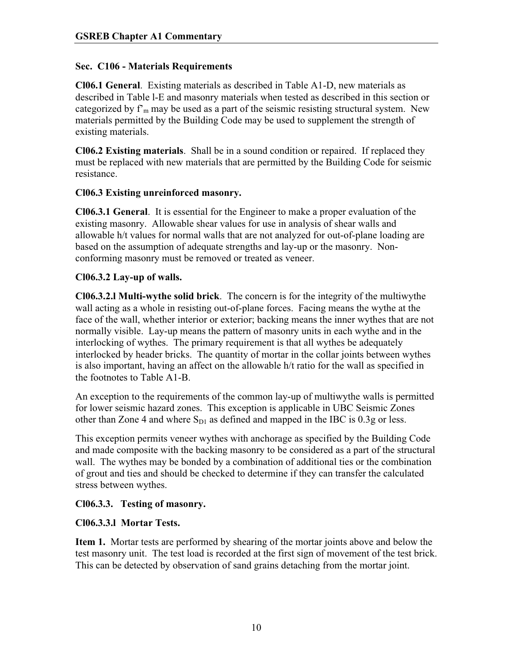### **Sec. C106 - Materials Requirements**

**Cl06.1 General**. Existing materials as described in Table A1-D, new materials as described in Table l-E and masonry materials when tested as described in this section or categorized by  $f<sub>m</sub>$  may be used as a part of the seismic resisting structural system. New materials permitted by the Building Code may be used to supplement the strength of existing materials.

**Cl06.2 Existing materials**. Shall be in a sound condition or repaired. If replaced they must be replaced with new materials that are permitted by the Building Code for seismic resistance.

## **Cl06.3 Existing unreinforced masonry.**

**Cl06.3.1 General**. It is essential for the Engineer to make a proper evaluation of the existing masonry. Allowable shear values for use in analysis of shear walls and allowable h/t values for normal walls that are not analyzed for out-of-plane loading are based on the assumption of adequate strengths and lay-up or the masonry. Nonconforming masonry must be removed or treated as veneer.

## **Cl06.3.2 Lay-up of walls.**

**Cl06.3.2.l Multi-wythe solid brick**. The concern is for the integrity of the multiwythe wall acting as a whole in resisting out-of-plane forces. Facing means the wythe at the face of the wall, whether interior or exterior; backing means the inner wythes that are not normally visible. Lay-up means the pattern of masonry units in each wythe and in the interlocking of wythes. The primary requirement is that all wythes be adequately interlocked by header bricks. The quantity of mortar in the collar joints between wythes is also important, having an affect on the allowable h/t ratio for the wall as specified in the footnotes to Table A1-B.

An exception to the requirements of the common lay-up of multiwythe walls is permitted for lower seismic hazard zones. This exception is applicable in UBC Seismic Zones other than Zone 4 and where  $S_{D1}$  as defined and mapped in the IBC is 0.3g or less.

This exception permits veneer wythes with anchorage as specified by the Building Code and made composite with the backing masonry to be considered as a part of the structural wall. The wythes may be bonded by a combination of additional ties or the combination of grout and ties and should be checked to determine if they can transfer the calculated stress between wythes.

# **Cl06.3.3. Testing of masonry.**

### **Cl06.3.3.l Mortar Tests.**

**Item 1.** Mortar tests are performed by shearing of the mortar joints above and below the test masonry unit. The test load is recorded at the first sign of movement of the test brick. This can be detected by observation of sand grains detaching from the mortar joint.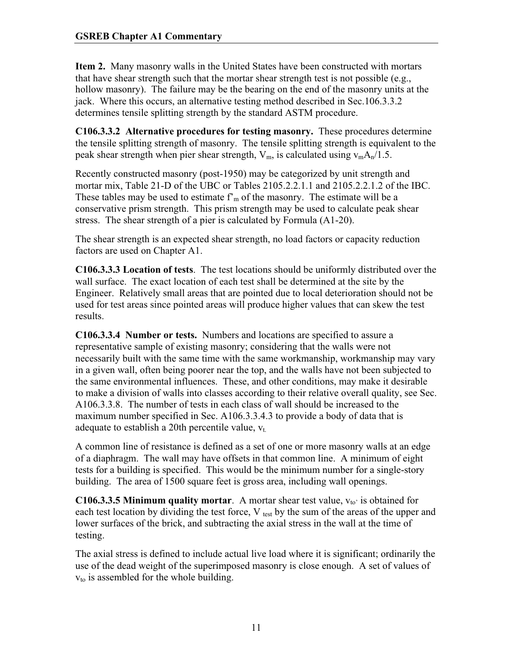**Item 2.** Many masonry walls in the United States have been constructed with mortars that have shear strength such that the mortar shear strength test is not possible (e.g., hollow masonry). The failure may be the bearing on the end of the masonry units at the jack. Where this occurs, an alternative testing method described in Sec.106.3.3.2 determines tensile splitting strength by the standard ASTM procedure.

**C106.3.3.2 Alternative procedures for testing masonry.** These procedures determine the tensile splitting strength of masonry. The tensile splitting strength is equivalent to the peak shear strength when pier shear strength,  $V_m$ , is calculated using  $v_m A_n/1.5$ .

Recently constructed masonry (post-1950) may be categorized by unit strength and mortar mix, Table 21-D of the UBC or Tables 2105.2.2.1.1 and 2105.2.2.1.2 of the IBC. These tables may be used to estimate  $f<sub>m</sub>$  of the masonry. The estimate will be a conservative prism strength. This prism strength may be used to calculate peak shear stress. The shear strength of a pier is calculated by Formula (A1-20).

The shear strength is an expected shear strength, no load factors or capacity reduction factors are used on Chapter A1.

**C106.3.3.3 Location of tests**. The test locations should be uniformly distributed over the wall surface. The exact location of each test shall be determined at the site by the Engineer. Relatively small areas that are pointed due to local deterioration should not be used for test areas since pointed areas will produce higher values that can skew the test results.

**C106.3.3.4 Number or tests.** Numbers and locations are specified to assure a representative sample of existing masonry; considering that the walls were not necessarily built with the same time with the same workmanship, workmanship may vary in a given wall, often being poorer near the top, and the walls have not been subjected to the same environmental influences. These, and other conditions, may make it desirable to make a division of walls into classes according to their relative overall quality, see Sec. A106.3.3.8. The number of tests in each class of wall should be increased to the maximum number specified in Sec. A106.3.3.4.3 to provide a body of data that is adequate to establish a 20th percentile value,  $v_t$ .

A common line of resistance is defined as a set of one or more masonry walls at an edge of a diaphragm. The wall may have offsets in that common line. A minimum of eight tests for a building is specified. This would be the minimum number for a single-story building. The area of 1500 square feet is gross area, including wall openings.

**C106.3.3.5 Minimum quality mortar.** A mortar shear test value,  $v_{to}$  is obtained for each test location by dividing the test force,  $V_{test}$  by the sum of the areas of the upper and lower surfaces of the brick, and subtracting the axial stress in the wall at the time of testing.

The axial stress is defined to include actual live load where it is significant; ordinarily the use of the dead weight of the superimposed masonry is close enough. A set of values of  $v_{\text{to}}$  is assembled for the whole building.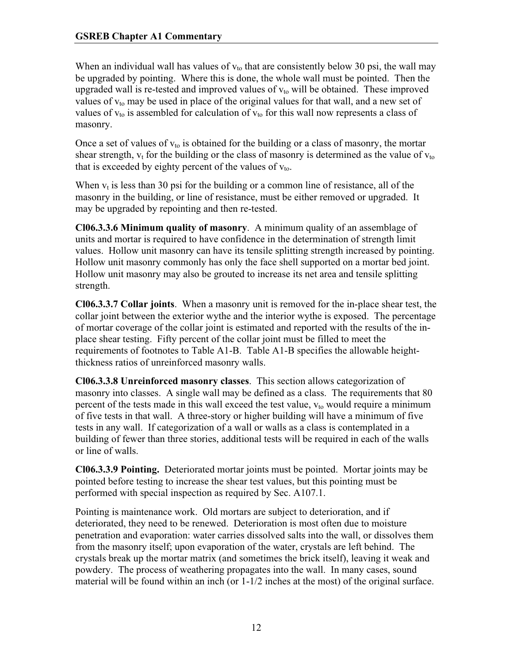When an individual wall has values of  $v_{\text{to}}$  that are consistently below 30 psi, the wall may be upgraded by pointing. Where this is done, the whole wall must be pointed. Then the upgraded wall is re-tested and improved values of  $v_{to}$  will be obtained. These improved values of  $v_{to}$  may be used in place of the original values for that wall, and a new set of values of  $v_{\text{to}}$  is assembled for calculation of  $v_{\text{to}}$  for this wall now represents a class of masonry.

Once a set of values of  $v_{to}$  is obtained for the building or a class of masonry, the mortar shear strength,  $v_t$  for the building or the class of masonry is determined as the value of  $v_{to}$ that is exceeded by eighty percent of the values of  $v_{\text{to}}$ .

When  $v_t$  is less than 30 psi for the building or a common line of resistance, all of the masonry in the building, or line of resistance, must be either removed or upgraded. It may be upgraded by repointing and then re-tested.

**Cl06.3.3.6 Minimum quality of masonry**. A minimum quality of an assemblage of units and mortar is required to have confidence in the determination of strength limit values. Hollow unit masonry can have its tensile splitting strength increased by pointing. Hollow unit masonry commonly has only the face shell supported on a mortar bed joint. Hollow unit masonry may also be grouted to increase its net area and tensile splitting strength.

**Cl06.3.3.7 Collar joints**. When a masonry unit is removed for the in-place shear test, the collar joint between the exterior wythe and the interior wythe is exposed. The percentage of mortar coverage of the collar joint is estimated and reported with the results of the inplace shear testing. Fifty percent of the collar joint must be filled to meet the requirements of footnotes to Table A1-B. Table A1-B specifies the allowable heightthickness ratios of unreinforced masonry walls.

**Cl06.3.3.8 Unreinforced masonry classes**. This section allows categorization of masonry into classes. A single wall may be defined as a class. The requirements that 80 percent of the tests made in this wall exceed the test value,  $v_{to}$  would require a minimum of five tests in that wall. A three-story or higher building will have a minimum of five tests in any wall. If categorization of a wall or walls as a class is contemplated in a building of fewer than three stories, additional tests will be required in each of the walls or line of walls.

**Cl06.3.3.9 Pointing.** Deteriorated mortar joints must be pointed. Mortar joints may be pointed before testing to increase the shear test values, but this pointing must be performed with special inspection as required by Sec. A107.1.

Pointing is maintenance work. Old mortars are subject to deterioration, and if deteriorated, they need to be renewed. Deterioration is most often due to moisture penetration and evaporation: water carries dissolved salts into the wall, or dissolves them from the masonry itself; upon evaporation of the water, crystals are left behind. The crystals break up the mortar matrix (and sometimes the brick itself), leaving it weak and powdery. The process of weathering propagates into the wall. In many cases, sound material will be found within an inch (or  $1-1/2$  inches at the most) of the original surface.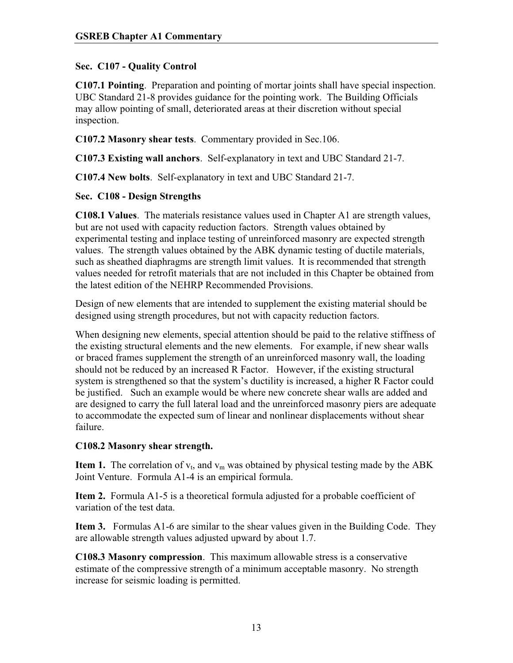## **Sec. C107 - Quality Control**

**C107.1 Pointing**. Preparation and pointing of mortar joints shall have special inspection. UBC Standard 21-8 provides guidance for the pointing work. The Building Officials may allow pointing of small, deteriorated areas at their discretion without special inspection.

**C107.2 Masonry shear tests**. Commentary provided in Sec.106.

**C107.3 Existing wall anchors**. Self-explanatory in text and UBC Standard 21-7.

**C107.4 New bolts**. Self-explanatory in text and UBC Standard 21-7.

### **Sec. C108 - Design Strengths**

**C108.1 Values**. The materials resistance values used in Chapter A1 are strength values, but are not used with capacity reduction factors. Strength values obtained by experimental testing and inplace testing of unreinforced masonry are expected strength values. The strength values obtained by the ABK dynamic testing of ductile materials, such as sheathed diaphragms are strength limit values. It is recommended that strength values needed for retrofit materials that are not included in this Chapter be obtained from the latest edition of the NEHRP Recommended Provisions.

Design of new elements that are intended to supplement the existing material should be designed using strength procedures, but not with capacity reduction factors.

When designing new elements, special attention should be paid to the relative stiffness of the existing structural elements and the new elements. For example, if new shear walls or braced frames supplement the strength of an unreinforced masonry wall, the loading should not be reduced by an increased R Factor. However, if the existing structural system is strengthened so that the system's ductility is increased, a higher R Factor could be justified. Such an example would be where new concrete shear walls are added and are designed to carry the full lateral load and the unreinforced masonry piers are adequate to accommodate the expected sum of linear and nonlinear displacements without shear failure.

### **C108.2 Masonry shear strength.**

**Item 1.** The correlation of  $v_t$ , and  $v_m$  was obtained by physical testing made by the ABK Joint Venture. Formula A1-4 is an empirical formula.

**Item 2.** Formula A1-5 is a theoretical formula adjusted for a probable coefficient of variation of the test data.

**Item 3.** Formulas A1-6 are similar to the shear values given in the Building Code. They are allowable strength values adjusted upward by about 1.7.

**C108.3 Masonry compression**. This maximum allowable stress is a conservative estimate of the compressive strength of a minimum acceptable masonry. No strength increase for seismic loading is permitted.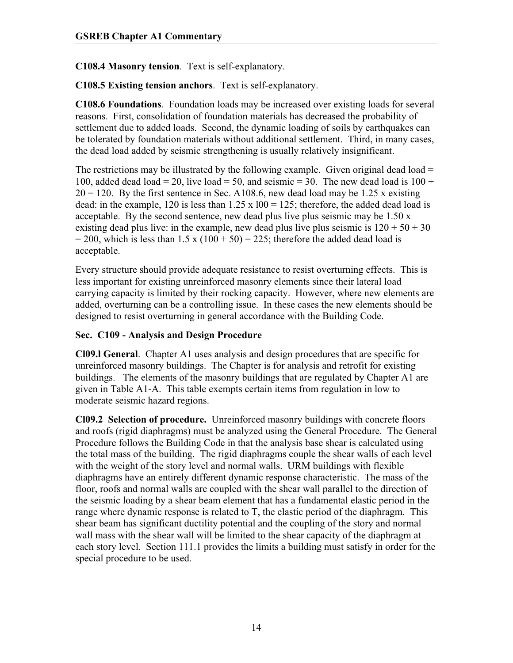**C108.4 Masonry tension**. Text is self-explanatory.

**C108.5 Existing tension anchors**. Text is self-explanatory.

**C108.6 Foundations**. Foundation loads may be increased over existing loads for several reasons. First, consolidation of foundation materials has decreased the probability of settlement due to added loads. Second, the dynamic loading of soils by earthquakes can be tolerated by foundation materials without additional settlement. Third, in many cases, the dead load added by seismic strengthening is usually relatively insignificant.

The restrictions may be illustrated by the following example. Given original dead load  $=$ 100, added dead load = 20, live load = 50, and seismic = 30. The new dead load is  $100 +$  $20 = 120$ . By the first sentence in Sec. A108.6, new dead load may be 1.25 x existing dead: in the example, 120 is less than  $1.25 \times 100 = 125$ ; therefore, the added dead load is acceptable. By the second sentence, new dead plus live plus seismic may be  $1.50 \text{ x}$ existing dead plus live: in the example, new dead plus live plus seismic is  $120 + 50 + 30$  $= 200$ , which is less than 1.5 x (100 + 50) = 225; therefore the added dead load is acceptable.

Every structure should provide adequate resistance to resist overturning effects. This is less important for existing unreinforced masonry elements since their lateral load carrying capacity is limited by their rocking capacity. However, where new elements are added, overturning can be a controlling issue. In these cases the new elements should be designed to resist overturning in general accordance with the Building Code.

## **Sec. C109 - Analysis and Design Procedure**

**Cl09.l General**. Chapter A1 uses analysis and design procedures that are specific for unreinforced masonry buildings. The Chapter is for analysis and retrofit for existing buildings. The elements of the masonry buildings that are regulated by Chapter A1 are given in Table A1-A. This table exempts certain items from regulation in low to moderate seismic hazard regions.

**Cl09.2 Selection of procedure.** Unreinforced masonry buildings with concrete floors and roofs (rigid diaphragms) must be analyzed using the General Procedure. The General Procedure follows the Building Code in that the analysis base shear is calculated using the total mass of the building. The rigid diaphragms couple the shear walls of each level with the weight of the story level and normal walls. URM buildings with flexible diaphragms have an entirely different dynamic response characteristic. The mass of the floor, roofs and normal walls are coupled with the shear wall parallel to the direction of the seismic loading by a shear beam element that has a fundamental elastic period in the range where dynamic response is related to T, the elastic period of the diaphragm. This shear beam has significant ductility potential and the coupling of the story and normal wall mass with the shear wall will be limited to the shear capacity of the diaphragm at each story level. Section 111.1 provides the limits a building must satisfy in order for the special procedure to be used.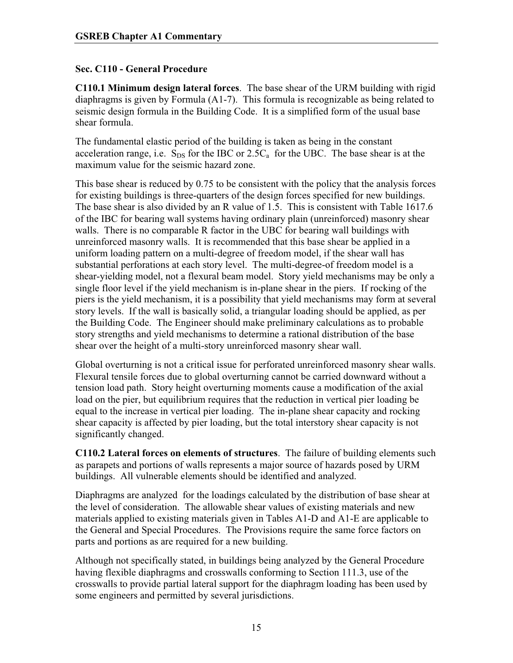## **Sec. C110 - General Procedure**

**C110.1 Minimum design lateral forces**. The base shear of the URM building with rigid diaphragms is given by Formula (A1-7). This formula is recognizable as being related to seismic design formula in the Building Code. It is a simplified form of the usual base shear formula.

The fundamental elastic period of the building is taken as being in the constant acceleration range, i.e.  $S_{DS}$  for the IBC or 2.5 $C_a$  for the UBC. The base shear is at the maximum value for the seismic hazard zone.

This base shear is reduced by 0.75 to be consistent with the policy that the analysis forces for existing buildings is three-quarters of the design forces specified for new buildings. The base shear is also divided by an R value of 1.5. This is consistent with Table 1617.6 of the IBC for bearing wall systems having ordinary plain (unreinforced) masonry shear walls. There is no comparable R factor in the UBC for bearing wall buildings with unreinforced masonry walls. It is recommended that this base shear be applied in a uniform loading pattern on a multi-degree of freedom model, if the shear wall has substantial perforations at each story level. The multi-degree-of freedom model is a shear-yielding model, not a flexural beam model. Story yield mechanisms may be only a single floor level if the yield mechanism is in-plane shear in the piers. If rocking of the piers is the yield mechanism, it is a possibility that yield mechanisms may form at several story levels. If the wall is basically solid, a triangular loading should be applied, as per the Building Code. The Engineer should make preliminary calculations as to probable story strengths and yield mechanisms to determine a rational distribution of the base shear over the height of a multi-story unreinforced masonry shear wall.

Global overturning is not a critical issue for perforated unreinforced masonry shear walls. Flexural tensile forces due to global overturning cannot be carried downward without a tension load path. Story height overturning moments cause a modification of the axial load on the pier, but equilibrium requires that the reduction in vertical pier loading be equal to the increase in vertical pier loading. The in-plane shear capacity and rocking shear capacity is affected by pier loading, but the total interstory shear capacity is not significantly changed.

**C110.2 Lateral forces on elements of structures**. The failure of building elements such as parapets and portions of walls represents a major source of hazards posed by URM buildings. All vulnerable elements should be identified and analyzed.

Diaphragms are analyzed for the loadings calculated by the distribution of base shear at the level of consideration. The allowable shear values of existing materials and new materials applied to existing materials given in Tables A1-D and A1-E are applicable to the General and Special Procedures. The Provisions require the same force factors on parts and portions as are required for a new building.

Although not specifically stated, in buildings being analyzed by the General Procedure having flexible diaphragms and crosswalls conforming to Section 111.3, use of the crosswalls to provide partial lateral support for the diaphragm loading has been used by some engineers and permitted by several jurisdictions.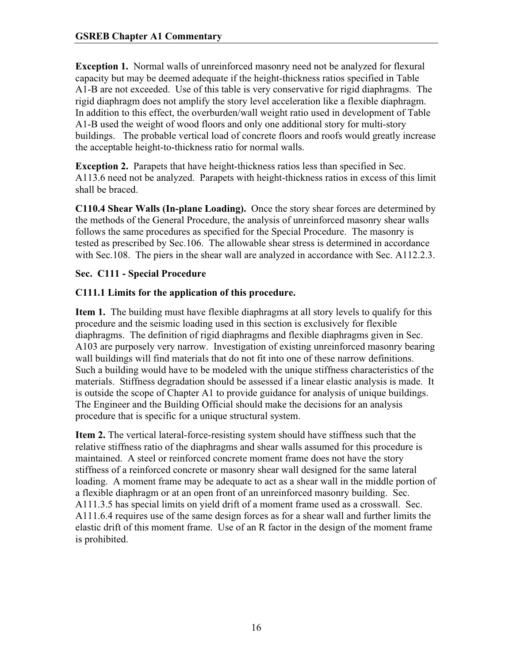**Exception 1.** Normal walls of unreinforced masonry need not be analyzed for flexural capacity but may be deemed adequate if the height-thickness ratios specified in Table A1-B are not exceeded. Use of this table is very conservative for rigid diaphragms. The rigid diaphragm does not amplify the story level acceleration like a flexible diaphragm. In addition to this effect, the overburden/wall weight ratio used in development of Table A1-B used the weight of wood floors and only one additional story for multi-story buildings. The probable vertical load of concrete floors and roofs would greatly increase the acceptable height-to-thickness ratio for normal walls.

**Exception 2.** Parapets that have height-thickness ratios less than specified in Sec. A113.6 need not be analyzed. Parapets with height-thickness ratios in excess of this limit shall be braced.

**C110.4 Shear Walls (In-plane Loading).** Once the story shear forces are determined by the methods of the General Procedure, the analysis of unreinforced masonry shear walls follows the same procedures as specified for the Special Procedure. The masonry is tested as prescribed by Sec.106. The allowable shear stress is determined in accordance with Sec.108. The piers in the shear wall are analyzed in accordance with Sec. A112.2.3.

## **Sec. C111 - Special Procedure**

## **C111.1 Limits for the application of this procedure.**

**Item 1.** The building must have flexible diaphragms at all story levels to qualify for this procedure and the seismic loading used in this section is exclusively for flexible diaphragms. The definition of rigid diaphragms and flexible diaphragms given in Sec. A103 are purposely very narrow. Investigation of existing unreinforced masonry bearing wall buildings will find materials that do not fit into one of these narrow definitions. Such a building would have to be modeled with the unique stiffness characteristics of the materials. Stiffness degradation should be assessed if a linear elastic analysis is made. It is outside the scope of Chapter A1 to provide guidance for analysis of unique buildings. The Engineer and the Building Official should make the decisions for an analysis procedure that is specific for a unique structural system.

**Item 2.** The vertical lateral-force-resisting system should have stiffness such that the relative stiffness ratio of the diaphragms and shear walls assumed for this procedure is maintained. A steel or reinforced concrete moment frame does not have the story stiffness of a reinforced concrete or masonry shear wall designed for the same lateral loading. A moment frame may be adequate to act as a shear wall in the middle portion of a flexible diaphragm or at an open front of an unreinforced masonry building. Sec. A111.3.5 has special limits on yield drift of a moment frame used as a crosswall. Sec. A111.6.4 requires use of the same design forces as for a shear wall and further limits the elastic drift of this moment frame. Use of an R factor in the design of the moment frame is prohibited.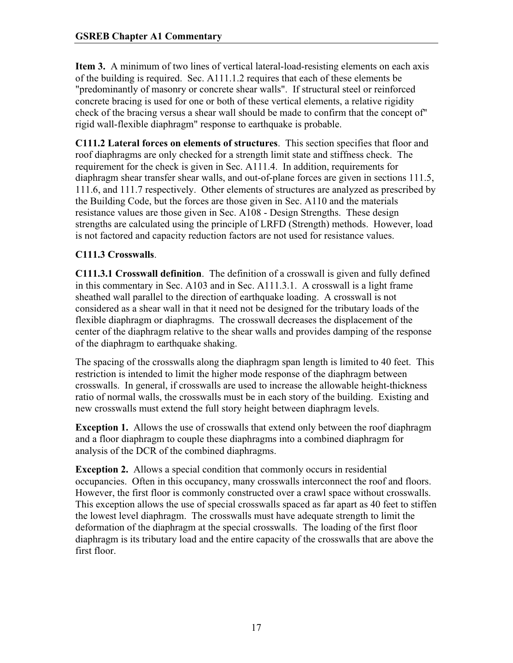**Item 3.** A minimum of two lines of vertical lateral-load-resisting elements on each axis of the building is required. Sec. A111.1.2 requires that each of these elements be "predominantly of masonry or concrete shear walls". If structural steel or reinforced concrete bracing is used for one or both of these vertical elements, a relative rigidity check of the bracing versus a shear wall should be made to confirm that the concept of" rigid wall-flexible diaphragm" response to earthquake is probable.

**C111.2 Lateral forces on elements of structures**. This section specifies that floor and roof diaphragms are only checked for a strength limit state and stiffness check. The requirement for the check is given in Sec. A111.4. In addition, requirements for diaphragm shear transfer shear walls, and out-of-plane forces are given in sections 111.5, 111.6, and 111.7 respectively. Other elements of structures are analyzed as prescribed by the Building Code, but the forces are those given in Sec. A110 and the materials resistance values are those given in Sec. A108 - Design Strengths. These design strengths are calculated using the principle of LRFD (Strength) methods. However, load is not factored and capacity reduction factors are not used for resistance values.

# **C111.3 Crosswalls**.

**C111.3.1 Crosswall definition**. The definition of a crosswall is given and fully defined in this commentary in Sec. A103 and in Sec. A111.3.1. A crosswall is a light frame sheathed wall parallel to the direction of earthquake loading. A crosswall is not considered as a shear wall in that it need not be designed for the tributary loads of the flexible diaphragm or diaphragms. The crosswall decreases the displacement of the center of the diaphragm relative to the shear walls and provides damping of the response of the diaphragm to earthquake shaking.

The spacing of the crosswalls along the diaphragm span length is limited to 40 feet. This restriction is intended to limit the higher mode response of the diaphragm between crosswalls. In general, if crosswalls are used to increase the allowable height-thickness ratio of normal walls, the crosswalls must be in each story of the building. Existing and new crosswalls must extend the full story height between diaphragm levels.

**Exception 1.** Allows the use of crosswalls that extend only between the roof diaphragm and a floor diaphragm to couple these diaphragms into a combined diaphragm for analysis of the DCR of the combined diaphragms.

**Exception 2.** Allows a special condition that commonly occurs in residential occupancies. Often in this occupancy, many crosswalls interconnect the roof and floors. However, the first floor is commonly constructed over a crawl space without crosswalls. This exception allows the use of special crosswalls spaced as far apart as 40 feet to stiffen the lowest level diaphragm. The crosswalls must have adequate strength to limit the deformation of the diaphragm at the special crosswalls. The loading of the first floor diaphragm is its tributary load and the entire capacity of the crosswalls that are above the first floor.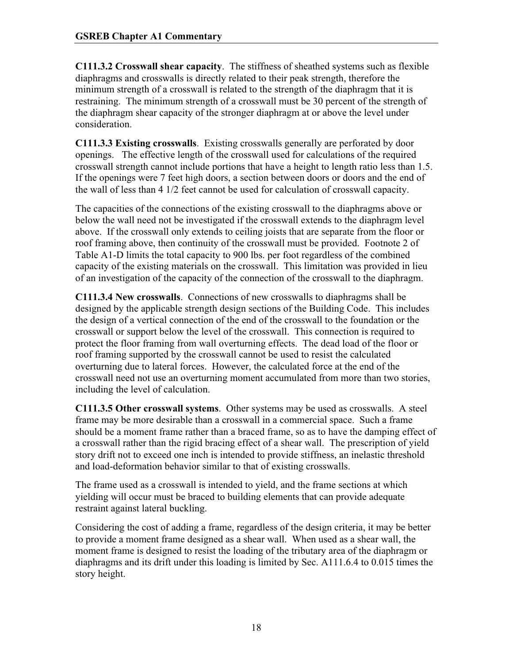**C111.3.2 Crosswall shear capacity**. The stiffness of sheathed systems such as flexible diaphragms and crosswalls is directly related to their peak strength, therefore the minimum strength of a crosswall is related to the strength of the diaphragm that it is restraining. The minimum strength of a crosswall must be 30 percent of the strength of the diaphragm shear capacity of the stronger diaphragm at or above the level under consideration.

**C111.3.3 Existing crosswalls**. Existing crosswalls generally are perforated by door openings. The effective length of the crosswall used for calculations of the required crosswall strength cannot include portions that have a height to length ratio less than 1.5. If the openings were 7 feet high doors, a section between doors or doors and the end of the wall of less than 4 1/2 feet cannot be used for calculation of crosswall capacity.

The capacities of the connections of the existing crosswall to the diaphragms above or below the wall need not be investigated if the crosswall extends to the diaphragm level above. If the crosswall only extends to ceiling joists that are separate from the floor or roof framing above, then continuity of the crosswall must be provided. Footnote 2 of Table A1-D limits the total capacity to 900 lbs. per foot regardless of the combined capacity of the existing materials on the crosswall. This limitation was provided in lieu of an investigation of the capacity of the connection of the crosswall to the diaphragm.

**C111.3.4 New crosswalls**. Connections of new crosswalls to diaphragms shall be designed by the applicable strength design sections of the Building Code. This includes the design of a vertical connection of the end of the crosswall to the foundation or the crosswall or support below the level of the crosswall. This connection is required to protect the floor framing from wall overturning effects. The dead load of the floor or roof framing supported by the crosswall cannot be used to resist the calculated overturning due to lateral forces. However, the calculated force at the end of the crosswall need not use an overturning moment accumulated from more than two stories, including the level of calculation.

**C111.3.5 Other crosswall systems**. Other systems may be used as crosswalls. A steel frame may be more desirable than a crosswall in a commercial space. Such a frame should be a moment frame rather than a braced frame, so as to have the damping effect of a crosswall rather than the rigid bracing effect of a shear wall. The prescription of yield story drift not to exceed one inch is intended to provide stiffness, an inelastic threshold and load-deformation behavior similar to that of existing crosswalls.

The frame used as a crosswall is intended to yield, and the frame sections at which yielding will occur must be braced to building elements that can provide adequate restraint against lateral buckling.

Considering the cost of adding a frame, regardless of the design criteria, it may be better to provide a moment frame designed as a shear wall. When used as a shear wall, the moment frame is designed to resist the loading of the tributary area of the diaphragm or diaphragms and its drift under this loading is limited by Sec. A111.6.4 to 0.015 times the story height.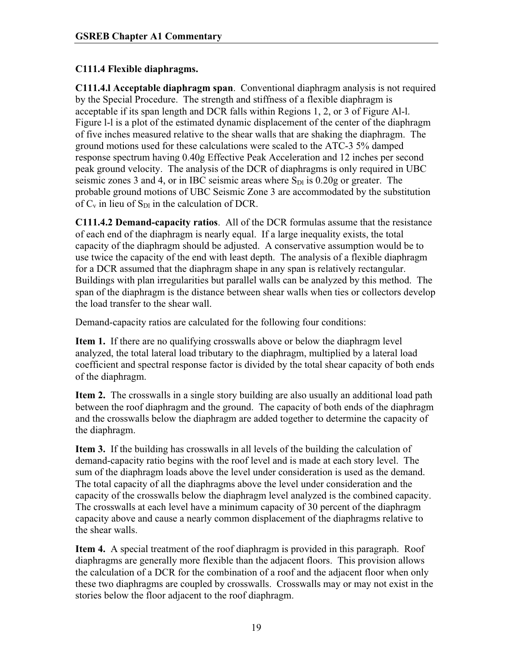# **C111.4 Flexible diaphragms.**

**C111.4.l Acceptable diaphragm span**. Conventional diaphragm analysis is not required by the Special Procedure. The strength and stiffness of a flexible diaphragm is acceptable if its span length and DCR falls within Regions 1, 2, or 3 of Figure Al-l. Figure l-l is a plot of the estimated dynamic displacement of the center of the diaphragm of five inches measured relative to the shear walls that are shaking the diaphragm. The ground motions used for these calculations were scaled to the ATC-3 5% damped response spectrum having 0.40g Effective Peak Acceleration and 12 inches per second peak ground velocity. The analysis of the DCR of diaphragms is only required in UBC seismic zones 3 and 4, or in IBC seismic areas where  $S_{\text{DL}}$  is 0.20g or greater. The probable ground motions of UBC Seismic Zone 3 are accommodated by the substitution of  $C_v$  in lieu of  $S_{D1}$  in the calculation of DCR.

**C111.4.2 Demand-capacity ratios**. All of the DCR formulas assume that the resistance of each end of the diaphragm is nearly equal. If a large inequality exists, the total capacity of the diaphragm should be adjusted. A conservative assumption would be to use twice the capacity of the end with least depth. The analysis of a flexible diaphragm for a DCR assumed that the diaphragm shape in any span is relatively rectangular. Buildings with plan irregularities but parallel walls can be analyzed by this method. The span of the diaphragm is the distance between shear walls when ties or collectors develop the load transfer to the shear wall.

Demand-capacity ratios are calculated for the following four conditions:

**Item 1.** If there are no qualifying crosswalls above or below the diaphragm level analyzed, the total lateral load tributary to the diaphragm, multiplied by a lateral load coefficient and spectral response factor is divided by the total shear capacity of both ends of the diaphragm.

**Item 2.** The crosswalls in a single story building are also usually an additional load path between the roof diaphragm and the ground. The capacity of both ends of the diaphragm and the crosswalls below the diaphragm are added together to determine the capacity of the diaphragm.

**Item 3.** If the building has crosswalls in all levels of the building the calculation of demand-capacity ratio begins with the roof level and is made at each story level. The sum of the diaphragm loads above the level under consideration is used as the demand. The total capacity of all the diaphragms above the level under consideration and the capacity of the crosswalls below the diaphragm level analyzed is the combined capacity. The crosswalls at each level have a minimum capacity of 30 percent of the diaphragm capacity above and cause a nearly common displacement of the diaphragms relative to the shear walls.

**Item 4.** A special treatment of the roof diaphragm is provided in this paragraph. Roof diaphragms are generally more flexible than the adjacent floors. This provision allows the calculation of a DCR for the combination of a roof and the adjacent floor when only these two diaphragms are coupled by crosswalls. Crosswalls may or may not exist in the stories below the floor adjacent to the roof diaphragm.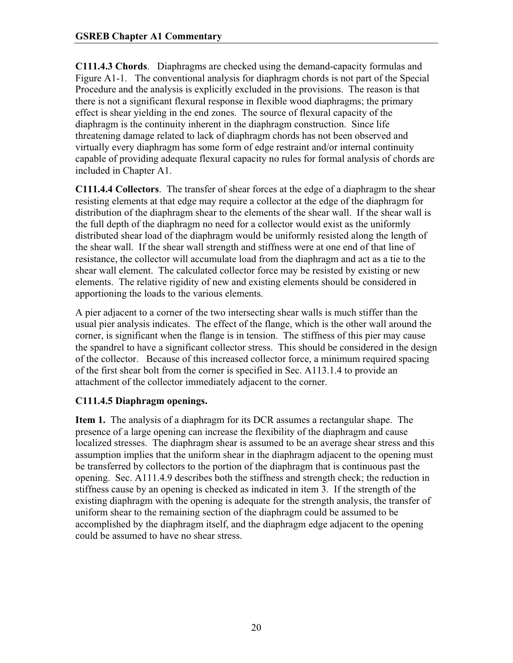**C111.4.3 Chords**. Diaphragms are checked using the demand-capacity formulas and Figure A1-1. The conventional analysis for diaphragm chords is not part of the Special Procedure and the analysis is explicitly excluded in the provisions. The reason is that there is not a significant flexural response in flexible wood diaphragms; the primary effect is shear yielding in the end zones. The source of flexural capacity of the diaphragm is the continuity inherent in the diaphragm construction. Since life threatening damage related to lack of diaphragm chords has not been observed and virtually every diaphragm has some form of edge restraint and/or internal continuity capable of providing adequate flexural capacity no rules for formal analysis of chords are included in Chapter A1.

**C111.4.4 Collectors**. The transfer of shear forces at the edge of a diaphragm to the shear resisting elements at that edge may require a collector at the edge of the diaphragm for distribution of the diaphragm shear to the elements of the shear wall. If the shear wall is the full depth of the diaphragm no need for a collector would exist as the uniformly distributed shear load of the diaphragm would be uniformly resisted along the length of the shear wall. If the shear wall strength and stiffness were at one end of that line of resistance, the collector will accumulate load from the diaphragm and act as a tie to the shear wall element. The calculated collector force may be resisted by existing or new elements. The relative rigidity of new and existing elements should be considered in apportioning the loads to the various elements.

A pier adjacent to a corner of the two intersecting shear walls is much stiffer than the usual pier analysis indicates. The effect of the flange, which is the other wall around the corner, is significant when the flange is in tension. The stiffness of this pier may cause the spandrel to have a significant collector stress. This should be considered in the design of the collector. Because of this increased collector force, a minimum required spacing of the first shear bolt from the corner is specified in Sec. A113.1.4 to provide an attachment of the collector immediately adjacent to the corner.

# **C111.4.5 Diaphragm openings.**

**Item 1.** The analysis of a diaphragm for its DCR assumes a rectangular shape. The presence of a large opening can increase the flexibility of the diaphragm and cause localized stresses. The diaphragm shear is assumed to be an average shear stress and this assumption implies that the uniform shear in the diaphragm adjacent to the opening must be transferred by collectors to the portion of the diaphragm that is continuous past the opening. Sec. A111.4.9 describes both the stiffness and strength check; the reduction in stiffness cause by an opening is checked as indicated in item 3. If the strength of the existing diaphragm with the opening is adequate for the strength analysis, the transfer of uniform shear to the remaining section of the diaphragm could be assumed to be accomplished by the diaphragm itself, and the diaphragm edge adjacent to the opening could be assumed to have no shear stress.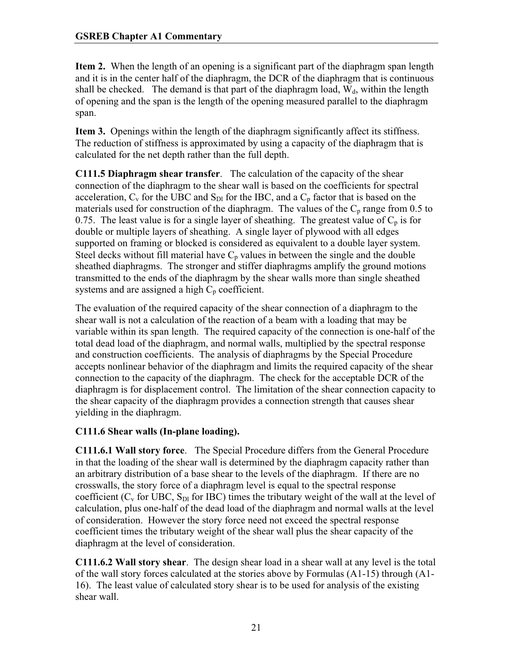**Item 2.** When the length of an opening is a significant part of the diaphragm span length and it is in the center half of the diaphragm, the DCR of the diaphragm that is continuous shall be checked. The demand is that part of the diaphragm load,  $W_d$ , within the length of opening and the span is the length of the opening measured parallel to the diaphragm span.

**Item 3.** Openings within the length of the diaphragm significantly affect its stiffness. The reduction of stiffness is approximated by using a capacity of the diaphragm that is calculated for the net depth rather than the full depth.

**C111.5 Diaphragm shear transfer**. The calculation of the capacity of the shear connection of the diaphragm to the shear wall is based on the coefficients for spectral acceleration,  $C_v$  for the UBC and  $S_{Dl}$  for the IBC, and a  $C_p$  factor that is based on the materials used for construction of the diaphragm. The values of the  $C_p$  range from 0.5 to 0.75. The least value is for a single layer of sheathing. The greatest value of  $C_p$  is for double or multiple layers of sheathing. A single layer of plywood with all edges supported on framing or blocked is considered as equivalent to a double layer system. Steel decks without fill material have  $C_p$  values in between the single and the double sheathed diaphragms. The stronger and stiffer diaphragms amplify the ground motions transmitted to the ends of the diaphragm by the shear walls more than single sheathed systems and are assigned a high  $C_p$  coefficient.

The evaluation of the required capacity of the shear connection of a diaphragm to the shear wall is not a calculation of the reaction of a beam with a loading that may be variable within its span length. The required capacity of the connection is one-half of the total dead load of the diaphragm, and normal walls, multiplied by the spectral response and construction coefficients. The analysis of diaphragms by the Special Procedure accepts nonlinear behavior of the diaphragm and limits the required capacity of the shear connection to the capacity of the diaphragm. The check for the acceptable DCR of the diaphragm is for displacement control. The limitation of the shear connection capacity to the shear capacity of the diaphragm provides a connection strength that causes shear yielding in the diaphragm.

# **C111.6 Shear walls (In-plane loading).**

**C111.6.1 Wall story force**. The Special Procedure differs from the General Procedure in that the loading of the shear wall is determined by the diaphragm capacity rather than an arbitrary distribution of a base shear to the levels of the diaphragm. If there are no crosswalls, the story force of a diaphragm level is equal to the spectral response coefficient ( $C_v$  for UBC,  $S_{Dl}$  for IBC) times the tributary weight of the wall at the level of calculation, plus one-half of the dead load of the diaphragm and normal walls at the level of consideration. However the story force need not exceed the spectral response coefficient times the tributary weight of the shear wall plus the shear capacity of the diaphragm at the level of consideration.

**C111.6.2 Wall story shear**. The design shear load in a shear wall at any level is the total of the wall story forces calculated at the stories above by Formulas (A1-15) through (A1- 16). The least value of calculated story shear is to be used for analysis of the existing shear wall.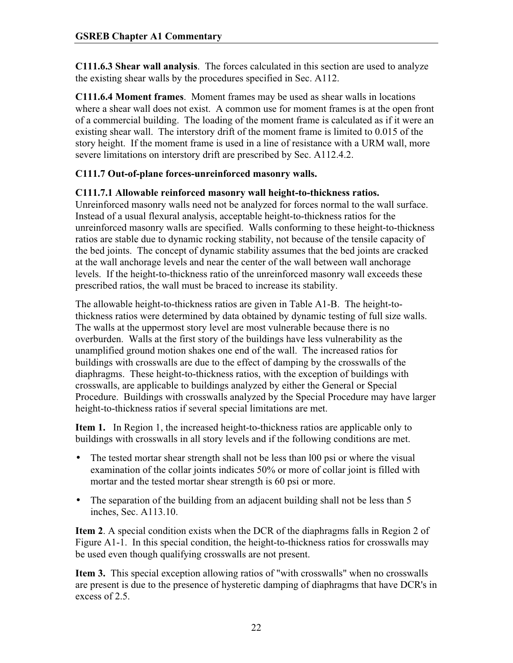**C111.6.3 Shear wall analysis**. The forces calculated in this section are used to analyze the existing shear walls by the procedures specified in Sec. A112.

**C111.6.4 Moment frames**. Moment frames may be used as shear walls in locations where a shear wall does not exist. A common use for moment frames is at the open front of a commercial building. The loading of the moment frame is calculated as if it were an existing shear wall. The interstory drift of the moment frame is limited to 0.015 of the story height. If the moment frame is used in a line of resistance with a URM wall, more severe limitations on interstory drift are prescribed by Sec. A112.4.2.

# **C111.7 Out-of-plane forces-unreinforced masonry walls.**

## **C111.7.1 Allowable reinforced masonry wall height-to-thickness ratios.**

Unreinforced masonry walls need not be analyzed for forces normal to the wall surface. Instead of a usual flexural analysis, acceptable height-to-thickness ratios for the unreinforced masonry walls are specified. Walls conforming to these height-to-thickness ratios are stable due to dynamic rocking stability, not because of the tensile capacity of the bed joints. The concept of dynamic stability assumes that the bed joints are cracked at the wall anchorage levels and near the center of the wall between wall anchorage levels. If the height-to-thickness ratio of the unreinforced masonry wall exceeds these prescribed ratios, the wall must be braced to increase its stability.

The allowable height-to-thickness ratios are given in Table A1-B. The height-tothickness ratios were determined by data obtained by dynamic testing of full size walls. The walls at the uppermost story level are most vulnerable because there is no overburden. Walls at the first story of the buildings have less vulnerability as the unamplified ground motion shakes one end of the wall. The increased ratios for buildings with crosswalls are due to the effect of damping by the crosswalls of the diaphragms. These height-to-thickness ratios, with the exception of buildings with crosswalls, are applicable to buildings analyzed by either the General or Special Procedure. Buildings with crosswalls analyzed by the Special Procedure may have larger height-to-thickness ratios if several special limitations are met.

**Item 1.** In Region 1, the increased height-to-thickness ratios are applicable only to buildings with crosswalls in all story levels and if the following conditions are met.

- The tested mortar shear strength shall not be less than 100 psi or where the visual examination of the collar joints indicates 50% or more of collar joint is filled with mortar and the tested mortar shear strength is 60 psi or more.
- The separation of the building from an adjacent building shall not be less than 5 inches, Sec. A113.10.

**Item 2**. A special condition exists when the DCR of the diaphragms falls in Region 2 of Figure A1-1. In this special condition, the height-to-thickness ratios for crosswalls may be used even though qualifying crosswalls are not present.

**Item 3.** This special exception allowing ratios of "with crosswalls" when no crosswalls are present is due to the presence of hysteretic damping of diaphragms that have DCR's in excess of 2.5.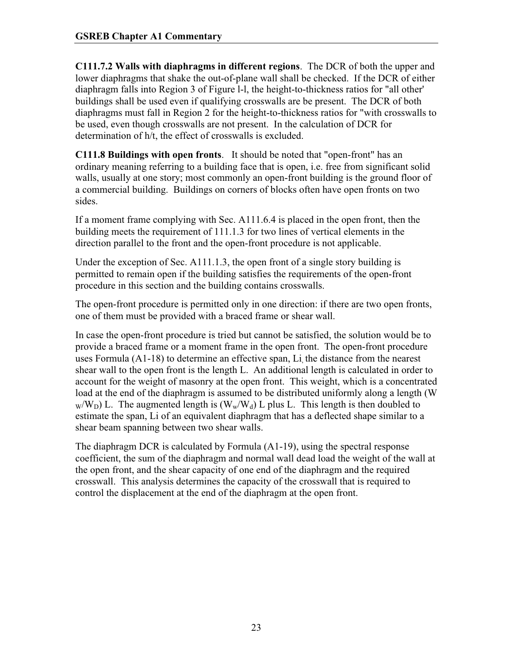**C111.7.2 Walls with diaphragms in different regions**. The DCR of both the upper and lower diaphragms that shake the out-of-plane wall shall be checked. If the DCR of either diaphragm falls into Region 3 of Figure l-l, the height-to-thickness ratios for "all other' buildings shall be used even if qualifying crosswalls are be present. The DCR of both diaphragms must fall in Region 2 for the height-to-thickness ratios for "with crosswalls to be used, even though crosswalls are not present. In the calculation of DCR for determination of h/t, the effect of crosswalls is excluded.

**C111.8 Buildings with open fronts**. It should be noted that "open-front" has an ordinary meaning referring to a building face that is open, i.e. free from significant solid walls, usually at one story; most commonly an open-front building is the ground floor of a commercial building. Buildings on corners of blocks often have open fronts on two sides.

If a moment frame complying with Sec. A111.6.4 is placed in the open front, then the building meets the requirement of 111.1.3 for two lines of vertical elements in the direction parallel to the front and the open-front procedure is not applicable.

Under the exception of Sec. A111.1.3, the open front of a single story building is permitted to remain open if the building satisfies the requirements of the open-front procedure in this section and the building contains crosswalls.

The open-front procedure is permitted only in one direction: if there are two open fronts, one of them must be provided with a braced frame or shear wall.

In case the open-front procedure is tried but cannot be satisfied, the solution would be to provide a braced frame or a moment frame in the open front. The open-front procedure uses Formula  $(A1-18)$  to determine an effective span, Li, the distance from the nearest shear wall to the open front is the length L. An additional length is calculated in order to account for the weight of masonry at the open front. This weight, which is a concentrated load at the end of the diaphragm is assumed to be distributed uniformly along a length (W  $_{\text{W}}/W_{\text{D}}$ ) L. The augmented length is  $(W_{\text{W}}/W_{\text{d}})$  L plus L. This length is then doubled to estimate the span, Li of an equivalent diaphragm that has a deflected shape similar to a shear beam spanning between two shear walls.

The diaphragm DCR is calculated by Formula (A1-19), using the spectral response coefficient, the sum of the diaphragm and normal wall dead load the weight of the wall at the open front, and the shear capacity of one end of the diaphragm and the required crosswall. This analysis determines the capacity of the crosswall that is required to control the displacement at the end of the diaphragm at the open front.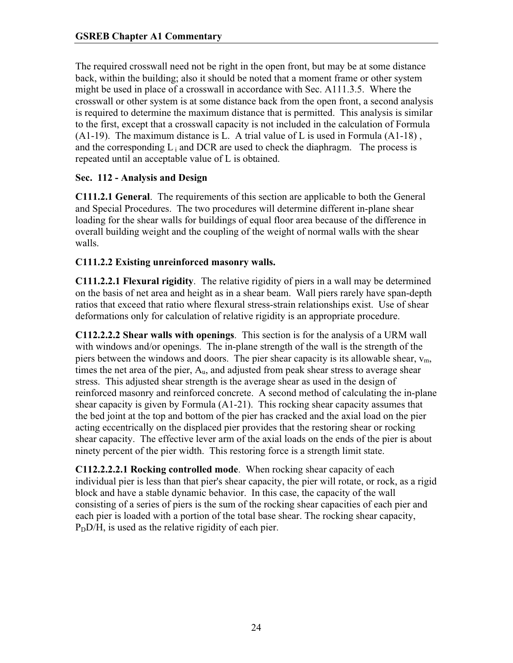The required crosswall need not be right in the open front, but may be at some distance back, within the building; also it should be noted that a moment frame or other system might be used in place of a crosswall in accordance with Sec. A111.3.5. Where the crosswall or other system is at some distance back from the open front, a second analysis is required to determine the maximum distance that is permitted. This analysis is similar to the first, except that a crosswall capacity is not included in the calculation of Formula (A1-19). The maximum distance is L. A trial value of L is used in Formula (A1-18) , and the corresponding  $L_i$  and DCR are used to check the diaphragm. The process is repeated until an acceptable value of L is obtained.

## **Sec. 112 - Analysis and Design**

**C111.2.1 General**. The requirements of this section are applicable to both the General and Special Procedures. The two procedures will determine different in-plane shear loading for the shear walls for buildings of equal floor area because of the difference in overall building weight and the coupling of the weight of normal walls with the shear walls.

## **C111.2.2 Existing unreinforced masonry walls.**

**C111.2.2.1 Flexural rigidity**. The relative rigidity of piers in a wall may be determined on the basis of net area and height as in a shear beam. Wall piers rarely have span-depth ratios that exceed that ratio where flexural stress-strain relationships exist. Use of shear deformations only for calculation of relative rigidity is an appropriate procedure.

**C112.2.2.2 Shear walls with openings**. This section is for the analysis of a URM wall with windows and/or openings. The in-plane strength of the wall is the strength of the piers between the windows and doors. The pier shear capacity is its allowable shear,  $v_m$ , times the net area of the pier,  $A<sub>u</sub>$ , and adjusted from peak shear stress to average shear stress. This adjusted shear strength is the average shear as used in the design of reinforced masonry and reinforced concrete. A second method of calculating the in-plane shear capacity is given by Formula (A1-21). This rocking shear capacity assumes that the bed joint at the top and bottom of the pier has cracked and the axial load on the pier acting eccentrically on the displaced pier provides that the restoring shear or rocking shear capacity. The effective lever arm of the axial loads on the ends of the pier is about ninety percent of the pier width. This restoring force is a strength limit state.

**C112.2.2.2.1 Rocking controlled mode**. When rocking shear capacity of each individual pier is less than that pier's shear capacity, the pier will rotate, or rock, as a rigid block and have a stable dynamic behavior. In this case, the capacity of the wall consisting of a series of piers is the sum of the rocking shear capacities of each pier and each pier is loaded with a portion of the total base shear. The rocking shear capacity,  $P<sub>D</sub>$ D/H, is used as the relative rigidity of each pier.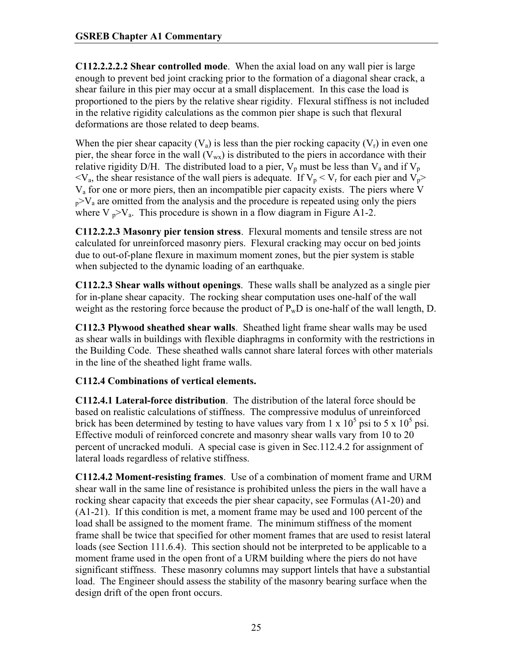**C112.2.2.2.2 Shear controlled mode**. When the axial load on any wall pier is large enough to prevent bed joint cracking prior to the formation of a diagonal shear crack, a shear failure in this pier may occur at a small displacement. In this case the load is proportioned to the piers by the relative shear rigidity. Flexural stiffness is not included in the relative rigidity calculations as the common pier shape is such that flexural deformations are those related to deep beams.

When the pier shear capacity  $(V_a)$  is less than the pier rocking capacity  $(V_r)$  in even one pier, the shear force in the wall  $(V_{wx})$  is distributed to the piers in accordance with their relative rigidity D/H. The distributed load to a pier,  $V_p$  must be less than  $V_a$  and if  $V_p$  $\langle V_a, \rangle$  the shear resistance of the wall piers is adequate. If  $V_p \langle V_r \rangle$  for each pier and  $V_p$  $V<sub>a</sub>$  for one or more piers, then an incompatible pier capacity exists. The piers where V  $p > V_a$  are omitted from the analysis and the procedure is repeated using only the piers where  $V_p > V_a$ . This procedure is shown in a flow diagram in Figure A1-2.

**C112.2.2.3 Masonry pier tension stress**. Flexural moments and tensile stress are not calculated for unreinforced masonry piers. Flexural cracking may occur on bed joints due to out-of-plane flexure in maximum moment zones, but the pier system is stable when subjected to the dynamic loading of an earthquake.

**C112.2.3 Shear walls without openings**. These walls shall be analyzed as a single pier for in-plane shear capacity. The rocking shear computation uses one-half of the wall weight as the restoring force because the product of  $P_wD$  is one-half of the wall length, D.

**C112.3 Plywood sheathed shear walls**. Sheathed light frame shear walls may be used as shear walls in buildings with flexible diaphragms in conformity with the restrictions in the Building Code. These sheathed walls cannot share lateral forces with other materials in the line of the sheathed light frame walls.

# **C112.4 Combinations of vertical elements.**

**C112.4.1 Lateral-force distribution**. The distribution of the lateral force should be based on realistic calculations of stiffness. The compressive modulus of unreinforced brick has been determined by testing to have values vary from 1 x  $10^5$  psi to 5 x  $10^5$  psi. Effective moduli of reinforced concrete and masonry shear walls vary from 10 to 20 percent of uncracked moduli. A special case is given in Sec.112.4.2 for assignment of lateral loads regardless of relative stiffness.

**C112.4.2 Moment-resisting frames**. Use of a combination of moment frame and URM shear wall in the same line of resistance is prohibited unless the piers in the wall have a rocking shear capacity that exceeds the pier shear capacity, see Formulas (A1-20) and (A1-21). If this condition is met, a moment frame may be used and 100 percent of the load shall be assigned to the moment frame. The minimum stiffness of the moment frame shall be twice that specified for other moment frames that are used to resist lateral loads (see Section 111.6.4). This section should not be interpreted to be applicable to a moment frame used in the open front of a URM building where the piers do not have significant stiffness. These masonry columns may support lintels that have a substantial load. The Engineer should assess the stability of the masonry bearing surface when the design drift of the open front occurs.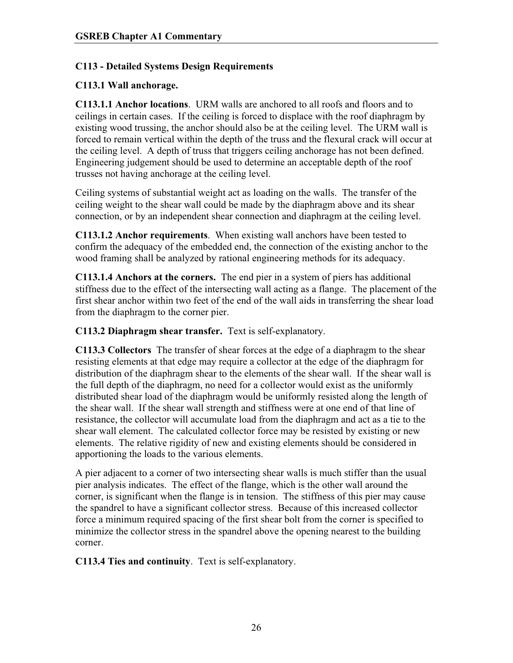## **C113 - Detailed Systems Design Requirements**

## **C113.1 Wall anchorage.**

**C113.1.1 Anchor locations**. URM walls are anchored to all roofs and floors and to ceilings in certain cases. If the ceiling is forced to displace with the roof diaphragm by existing wood trussing, the anchor should also be at the ceiling level. The URM wall is forced to remain vertical within the depth of the truss and the flexural crack will occur at the ceiling level. A depth of truss that triggers ceiling anchorage has not been defined. Engineering judgement should be used to determine an acceptable depth of the roof trusses not having anchorage at the ceiling level.

Ceiling systems of substantial weight act as loading on the walls. The transfer of the ceiling weight to the shear wall could be made by the diaphragm above and its shear connection, or by an independent shear connection and diaphragm at the ceiling level.

**C113.1.2 Anchor requirements**. When existing wall anchors have been tested to confirm the adequacy of the embedded end, the connection of the existing anchor to the wood framing shall be analyzed by rational engineering methods for its adequacy.

**C113.1.4 Anchors at the corners.** The end pier in a system of piers has additional stiffness due to the effect of the intersecting wall acting as a flange. The placement of the first shear anchor within two feet of the end of the wall aids in transferring the shear load from the diaphragm to the corner pier.

**C113.2 Diaphragm shear transfer.** Text is self-explanatory.

**C113.3 Collectors** The transfer of shear forces at the edge of a diaphragm to the shear resisting elements at that edge may require a collector at the edge of the diaphragm for distribution of the diaphragm shear to the elements of the shear wall. If the shear wall is the full depth of the diaphragm, no need for a collector would exist as the uniformly distributed shear load of the diaphragm would be uniformly resisted along the length of the shear wall. If the shear wall strength and stiffness were at one end of that line of resistance, the collector will accumulate load from the diaphragm and act as a tie to the shear wall element. The calculated collector force may be resisted by existing or new elements. The relative rigidity of new and existing elements should be considered in apportioning the loads to the various elements.

A pier adjacent to a corner of two intersecting shear walls is much stiffer than the usual pier analysis indicates. The effect of the flange, which is the other wall around the corner, is significant when the flange is in tension. The stiffness of this pier may cause the spandrel to have a significant collector stress. Because of this increased collector force a minimum required spacing of the first shear bolt from the corner is specified to minimize the collector stress in the spandrel above the opening nearest to the building corner.

**C113.4 Ties and continuity**. Text is self-explanatory.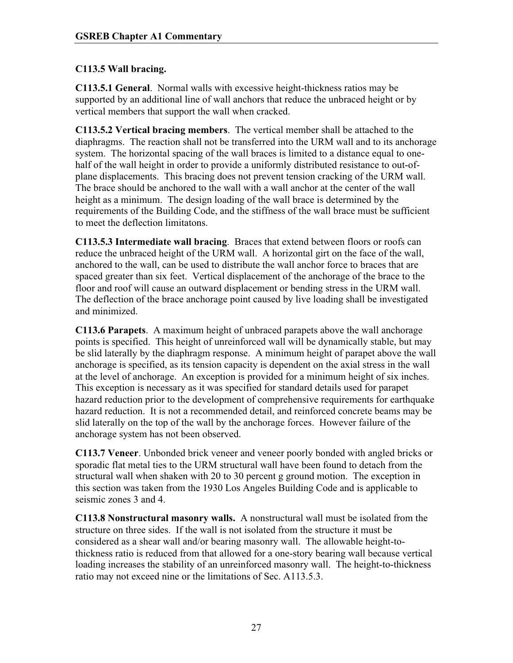# **C113.5 Wall bracing.**

**C113.5.1 General**. Normal walls with excessive height-thickness ratios may be supported by an additional line of wall anchors that reduce the unbraced height or by vertical members that support the wall when cracked.

**C113.5.2 Vertical bracing members**. The vertical member shall be attached to the diaphragms. The reaction shall not be transferred into the URM wall and to its anchorage system. The horizontal spacing of the wall braces is limited to a distance equal to onehalf of the wall height in order to provide a uniformly distributed resistance to out-ofplane displacements. This bracing does not prevent tension cracking of the URM wall. The brace should be anchored to the wall with a wall anchor at the center of the wall height as a minimum. The design loading of the wall brace is determined by the requirements of the Building Code, and the stiffness of the wall brace must be sufficient to meet the deflection limitatons.

**C113.5.3 Intermediate wall bracing**. Braces that extend between floors or roofs can reduce the unbraced height of the URM wall. A horizontal girt on the face of the wall, anchored to the wall, can be used to distribute the wall anchor force to braces that are spaced greater than six feet. Vertical displacement of the anchorage of the brace to the floor and roof will cause an outward displacement or bending stress in the URM wall. The deflection of the brace anchorage point caused by live loading shall be investigated and minimized.

**C113.6 Parapets**. A maximum height of unbraced parapets above the wall anchorage points is specified. This height of unreinforced wall will be dynamically stable, but may be slid laterally by the diaphragm response. A minimum height of parapet above the wall anchorage is specified, as its tension capacity is dependent on the axial stress in the wall at the level of anchorage. An exception is provided for a minimum height of six inches. This exception is necessary as it was specified for standard details used for parapet hazard reduction prior to the development of comprehensive requirements for earthquake hazard reduction. It is not a recommended detail, and reinforced concrete beams may be slid laterally on the top of the wall by the anchorage forces. However failure of the anchorage system has not been observed.

**C113.7 Veneer**. Unbonded brick veneer and veneer poorly bonded with angled bricks or sporadic flat metal ties to the URM structural wall have been found to detach from the structural wall when shaken with 20 to 30 percent g ground motion. The exception in this section was taken from the 1930 Los Angeles Building Code and is applicable to seismic zones 3 and 4.

**C113.8 Nonstructural masonry walls.** A nonstructural wall must be isolated from the structure on three sides. If the wall is not isolated from the structure it must be considered as a shear wall and/or bearing masonry wall. The allowable height-tothickness ratio is reduced from that allowed for a one-story bearing wall because vertical loading increases the stability of an unreinforced masonry wall. The height-to-thickness ratio may not exceed nine or the limitations of Sec. A113.5.3.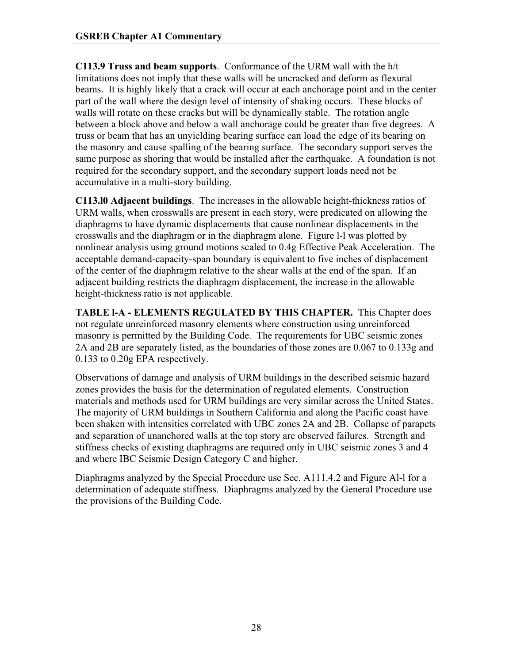**C113.9 Truss and beam supports**. Conformance of the URM wall with the h/t limitations does not imply that these walls will be uncracked and deform as flexural beams. It is highly likely that a crack will occur at each anchorage point and in the center part of the wall where the design level of intensity of shaking occurs. These blocks of walls will rotate on these cracks but will be dynamically stable. The rotation angle between a block above and below a wall anchorage could be greater than five degrees. A truss or beam that has an unyielding bearing surface can load the edge of its bearing on the masonry and cause spalling of the bearing surface. The secondary support serves the same purpose as shoring that would be installed after the earthquake. A foundation is not required for the secondary support, and the secondary support loads need not be accumulative in a multi-story building.

**C113.l0 Adjacent buildings**. The increases in the allowable height-thickness ratios of URM walls, when crosswalls are present in each story, were predicated on allowing the diaphragms to have dynamic displacements that cause nonlinear displacements in the crosswalls and the diaphragm or in the diaphragm alone. Figure l-l was plotted by nonlinear analysis using ground motions scaled to 0.4g Effective Peak Acceleration. The acceptable demand-capacity-span boundary is equivalent to five inches of displacement of the center of the diaphragm relative to the shear walls at the end of the span. If an adjacent building restricts the diaphragm displacement, the increase in the allowable height-thickness ratio is not applicable.

**TABLE l-A - ELEMENTS REGULATED BY THIS CHAPTER.** This Chapter does not regulate unreinforced masonry elements where construction using unreinforced masonry is permitted by the Building Code. The requirements for UBC seismic zones 2A and 2B are separately listed, as the boundaries of those zones are 0.067 to 0.133g and 0.133 to 0.20g EPA respectively.

Observations of damage and analysis of URM buildings in the described seismic hazard zones provides the basis for the determination of regulated elements. Construction materials and methods used for URM buildings are very similar across the United States. The majority of URM buildings in Southern California and along the Pacific coast have been shaken with intensities correlated with UBC zones 2A and 2B. Collapse of parapets and separation of unanchored walls at the top story are observed failures. Strength and stiffness checks of existing diaphragms are required only in UBC seismic zones 3 and 4 and where IBC Seismic Design Category C and higher.

Diaphragms analyzed by the Special Procedure use Sec. A111.4.2 and Figure Al-l for a determination of adequate stiffness. Diaphragms analyzed by the General Procedure use the provisions of the Building Code.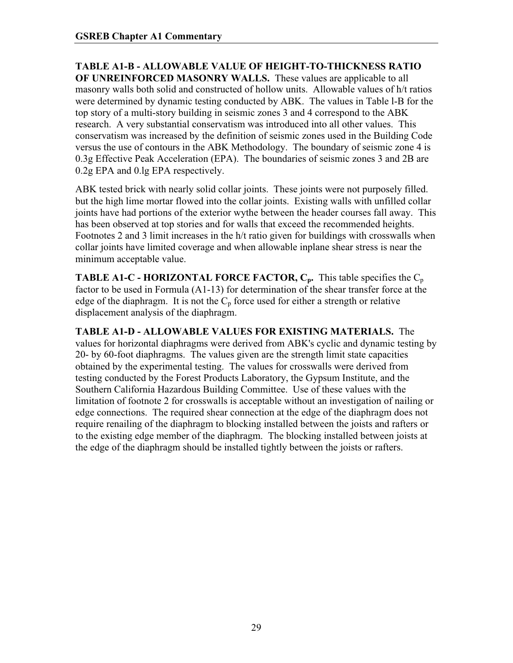**TABLE A1-B - ALLOWABLE VALUE OF HEIGHT-TO-THICKNESS RATIO OF UNREINFORCED MASONRY WALLS.** These values are applicable to all masonry walls both solid and constructed of hollow units. Allowable values of h/t ratios were determined by dynamic testing conducted by ABK. The values in Table l-B for the top story of a multi-story building in seismic zones 3 and 4 correspond to the ABK research. A very substantial conservatism was introduced into all other values. This conservatism was increased by the definition of seismic zones used in the Building Code versus the use of contours in the ABK Methodology. The boundary of seismic zone 4 is 0.3g Effective Peak Acceleration (EPA). The boundaries of seismic zones 3 and 2B are 0.2g EPA and 0.lg EPA respectively.

ABK tested brick with nearly solid collar joints. These joints were not purposely filled. but the high lime mortar flowed into the collar joints. Existing walls with unfilled collar joints have had portions of the exterior wythe between the header courses fall away. This has been observed at top stories and for walls that exceed the recommended heights. Footnotes 2 and 3 limit increases in the h/t ratio given for buildings with crosswalls when collar joints have limited coverage and when allowable inplane shear stress is near the minimum acceptable value.

**TABLE A1-C - HORIZONTAL FORCE FACTOR,**  $C_p$ **.** This table specifies the  $C_p$ factor to be used in Formula (A1-13) for determination of the shear transfer force at the edge of the diaphragm. It is not the  $C_p$  force used for either a strength or relative displacement analysis of the diaphragm.

**TABLE A1-D - ALLOWABLE VALUES FOR EXISTING MATERIALS.** The values for horizontal diaphragms were derived from ABK's cyclic and dynamic testing by 20- by 60-foot diaphragms. The values given are the strength limit state capacities obtained by the experimental testing. The values for crosswalls were derived from testing conducted by the Forest Products Laboratory, the Gypsum Institute, and the Southern California Hazardous Building Committee. Use of these values with the limitation of footnote 2 for crosswalls is acceptable without an investigation of nailing or edge connections. The required shear connection at the edge of the diaphragm does not require renailing of the diaphragm to blocking installed between the joists and rafters or to the existing edge member of the diaphragm. The blocking installed between joists at the edge of the diaphragm should be installed tightly between the joists or rafters.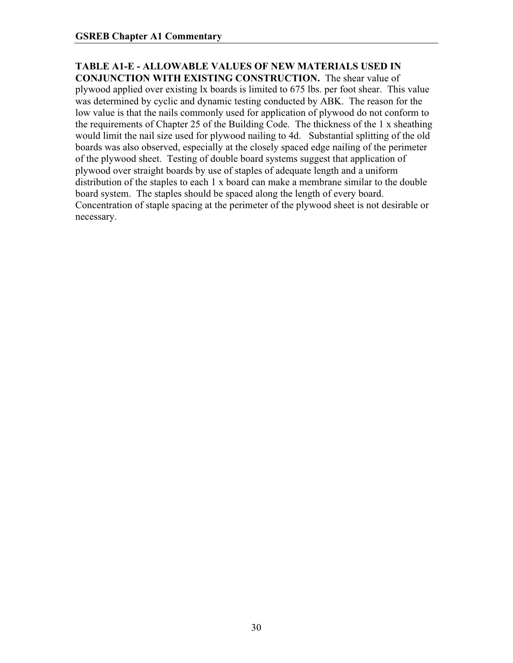#### **TABLE A1-E - ALLOWABLE VALUES OF NEW MATERIALS USED IN CONJUNCTION WITH EXISTING CONSTRUCTION.** The shear value of

plywood applied over existing lx boards is limited to 675 lbs. per foot shear. This value was determined by cyclic and dynamic testing conducted by ABK. The reason for the low value is that the nails commonly used for application of plywood do not conform to the requirements of Chapter 25 of the Building Code. The thickness of the 1 x sheathing would limit the nail size used for plywood nailing to 4d. Substantial splitting of the old boards was also observed, especially at the closely spaced edge nailing of the perimeter of the plywood sheet. Testing of double board systems suggest that application of plywood over straight boards by use of staples of adequate length and a uniform distribution of the staples to each 1 x board can make a membrane similar to the double board system. The staples should be spaced along the length of every board. Concentration of staple spacing at the perimeter of the plywood sheet is not desirable or necessary.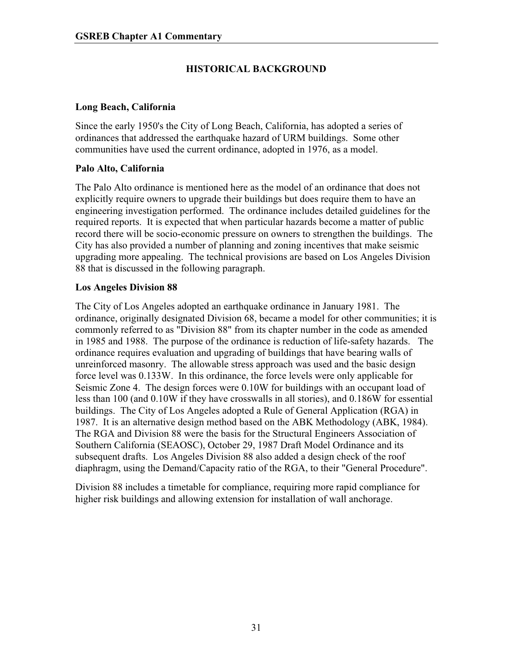# **HISTORICAL BACKGROUND**

#### **Long Beach, California**

Since the early 1950's the City of Long Beach, California, has adopted a series of ordinances that addressed the earthquake hazard of URM buildings. Some other communities have used the current ordinance, adopted in 1976, as a model.

#### **Palo Alto, California**

The Palo Alto ordinance is mentioned here as the model of an ordinance that does not explicitly require owners to upgrade their buildings but does require them to have an engineering investigation performed. The ordinance includes detailed guidelines for the required reports. It is expected that when particular hazards become a matter of public record there will be socio-economic pressure on owners to strengthen the buildings. The City has also provided a number of planning and zoning incentives that make seismic upgrading more appealing. The technical provisions are based on Los Angeles Division 88 that is discussed in the following paragraph.

#### **Los Angeles Division 88**

The City of Los Angeles adopted an earthquake ordinance in January 1981. The ordinance, originally designated Division 68, became a model for other communities; it is commonly referred to as "Division 88" from its chapter number in the code as amended in 1985 and 1988. The purpose of the ordinance is reduction of life-safety hazards. The ordinance requires evaluation and upgrading of buildings that have bearing walls of unreinforced masonry. The allowable stress approach was used and the basic design force level was 0.133W. In this ordinance, the force levels were only applicable for Seismic Zone 4. The design forces were 0.10W for buildings with an occupant load of less than 100 (and 0.10W if they have crosswalls in all stories), and 0.186W for essential buildings. The City of Los Angeles adopted a Rule of General Application (RGA) in 1987. It is an alternative design method based on the ABK Methodology (ABK, 1984). The RGA and Division 88 were the basis for the Structural Engineers Association of Southern California (SEAOSC), October 29, 1987 Draft Model Ordinance and its subsequent drafts. Los Angeles Division 88 also added a design check of the roof diaphragm, using the Demand/Capacity ratio of the RGA, to their "General Procedure".

Division 88 includes a timetable for compliance, requiring more rapid compliance for higher risk buildings and allowing extension for installation of wall anchorage.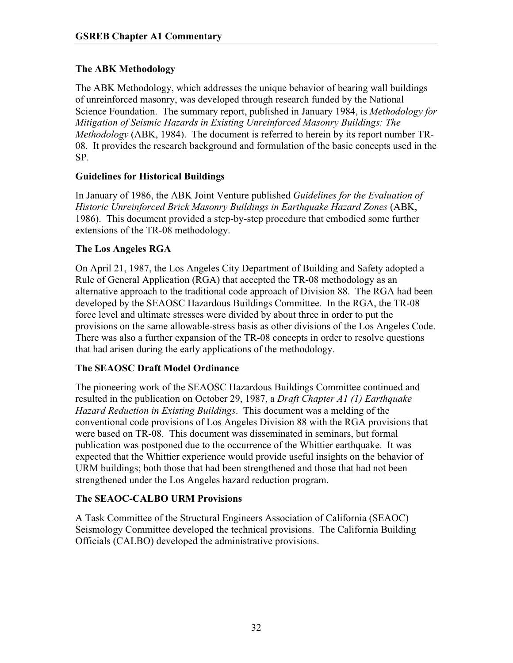# **The ABK Methodology**

The ABK Methodology, which addresses the unique behavior of bearing wall buildings of unreinforced masonry, was developed through research funded by the National Science Foundation. The summary report, published in January 1984, is *Methodology for Mitigation of Seismic Hazards in Existing Unreinforced Masonry Buildings: The Methodology* (ABK, 1984). The document is referred to herein by its report number TR-08. It provides the research background and formulation of the basic concepts used in the SP.

### **Guidelines for Historical Buildings**

In January of 1986, the ABK Joint Venture published *Guidelines for the Evaluation of Historic Unreinforced Brick Masonry Buildings in Earthquake Hazard Zones* (ABK, 1986). This document provided a step-by-step procedure that embodied some further extensions of the TR-08 methodology.

## **The Los Angeles RGA**

On April 21, 1987, the Los Angeles City Department of Building and Safety adopted a Rule of General Application (RGA) that accepted the TR-08 methodology as an alternative approach to the traditional code approach of Division 88. The RGA had been developed by the SEAOSC Hazardous Buildings Committee. In the RGA, the TR-08 force level and ultimate stresses were divided by about three in order to put the provisions on the same allowable-stress basis as other divisions of the Los Angeles Code. There was also a further expansion of the TR-08 concepts in order to resolve questions that had arisen during the early applications of the methodology.

### **The SEAOSC Draft Model Ordinance**

The pioneering work of the SEAOSC Hazardous Buildings Committee continued and resulted in the publication on October 29, 1987, a *Draft Chapter A1 (1) Earthquake Hazard Reduction in Existing Buildings*. This document was a melding of the conventional code provisions of Los Angeles Division 88 with the RGA provisions that were based on TR-08. This document was disseminated in seminars, but formal publication was postponed due to the occurrence of the Whittier earthquake. It was expected that the Whittier experience would provide useful insights on the behavior of URM buildings; both those that had been strengthened and those that had not been strengthened under the Los Angeles hazard reduction program.

### **The SEAOC-CALBO URM Provisions**

A Task Committee of the Structural Engineers Association of California (SEAOC) Seismology Committee developed the technical provisions. The California Building Officials (CALBO) developed the administrative provisions.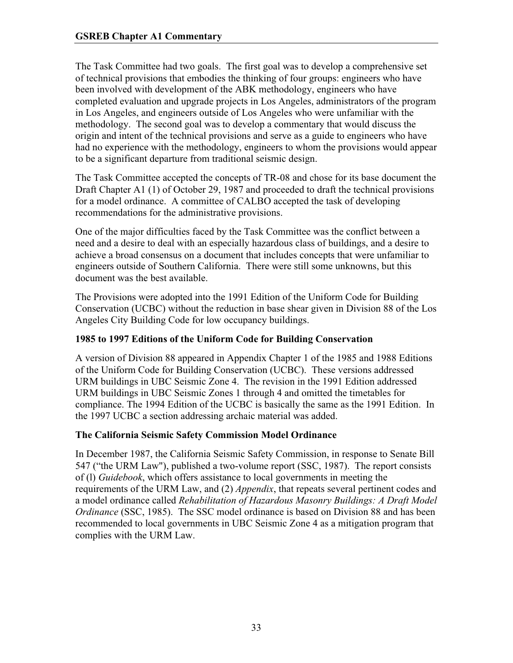The Task Committee had two goals. The first goal was to develop a comprehensive set of technical provisions that embodies the thinking of four groups: engineers who have been involved with development of the ABK methodology, engineers who have completed evaluation and upgrade projects in Los Angeles, administrators of the program in Los Angeles, and engineers outside of Los Angeles who were unfamiliar with the methodology. The second goal was to develop a commentary that would discuss the origin and intent of the technical provisions and serve as a guide to engineers who have had no experience with the methodology, engineers to whom the provisions would appear to be a significant departure from traditional seismic design.

The Task Committee accepted the concepts of TR-08 and chose for its base document the Draft Chapter A1 (1) of October 29, 1987 and proceeded to draft the technical provisions for a model ordinance. A committee of CALBO accepted the task of developing recommendations for the administrative provisions.

One of the major difficulties faced by the Task Committee was the conflict between a need and a desire to deal with an especially hazardous class of buildings, and a desire to achieve a broad consensus on a document that includes concepts that were unfamiliar to engineers outside of Southern California. There were still some unknowns, but this document was the best available.

The Provisions were adopted into the 1991 Edition of the Uniform Code for Building Conservation (UCBC) without the reduction in base shear given in Division 88 of the Los Angeles City Building Code for low occupancy buildings.

# **1985 to 1997 Editions of the Uniform Code for Building Conservation**

A version of Division 88 appeared in Appendix Chapter 1 of the 1985 and 1988 Editions of the Uniform Code for Building Conservation (UCBC). These versions addressed URM buildings in UBC Seismic Zone 4. The revision in the 1991 Edition addressed URM buildings in UBC Seismic Zones 1 through 4 and omitted the timetables for compliance. The 1994 Edition of the UCBC is basically the same as the 1991 Edition. In the 1997 UCBC a section addressing archaic material was added.

# **The California Seismic Safety Commission Model Ordinance**

In December 1987, the California Seismic Safety Commission, in response to Senate Bill 547 ("the URM Law"), published a two-volume report (SSC, 1987). The report consists of (l) *Guidebook*, which offers assistance to local governments in meeting the requirements of the URM Law, and (2) *Appendix*, that repeats several pertinent codes and a model ordinance called *Rehabilitation of Hazardous Masonry Buildings: A Draft Model Ordinance* (SSC, 1985). The SSC model ordinance is based on Division 88 and has been recommended to local governments in UBC Seismic Zone 4 as a mitigation program that complies with the URM Law.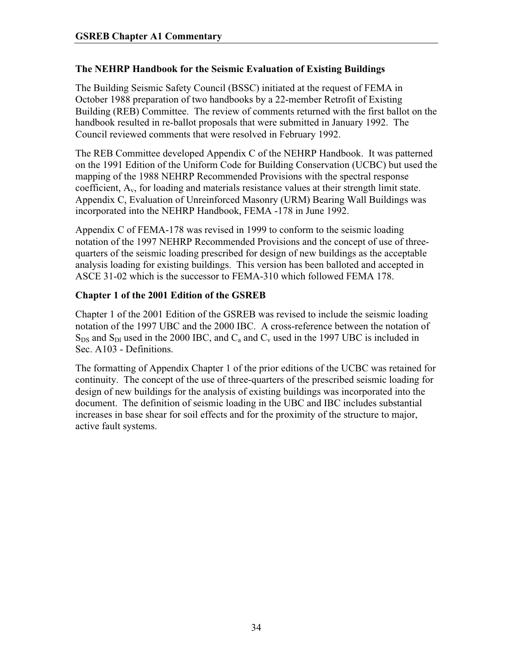## **The NEHRP Handbook for the Seismic Evaluation of Existing Buildings**

The Building Seismic Safety Council (BSSC) initiated at the request of FEMA in October 1988 preparation of two handbooks by a 22-member Retrofit of Existing Building (REB) Committee. The review of comments returned with the first ballot on the handbook resulted in re-ballot proposals that were submitted in January 1992. The Council reviewed comments that were resolved in February 1992.

The REB Committee developed Appendix C of the NEHRP Handbook. It was patterned on the 1991 Edition of the Uniform Code for Building Conservation (UCBC) but used the mapping of the 1988 NEHRP Recommended Provisions with the spectral response coefficient,  $A<sub>v</sub>$ , for loading and materials resistance values at their strength limit state. Appendix C, Evaluation of Unreinforced Masonry (URM) Bearing Wall Buildings was incorporated into the NEHRP Handbook, FEMA -178 in June 1992.

Appendix C of FEMA-178 was revised in 1999 to conform to the seismic loading notation of the 1997 NEHRP Recommended Provisions and the concept of use of threequarters of the seismic loading prescribed for design of new buildings as the acceptable analysis loading for existing buildings. This version has been balloted and accepted in ASCE 31-02 which is the successor to FEMA-310 which followed FEMA 178.

## **Chapter 1 of the 2001 Edition of the GSREB**

Chapter 1 of the 2001 Edition of the GSREB was revised to include the seismic loading notation of the 1997 UBC and the 2000 IBC. A cross-reference between the notation of  $S_{DS}$  and  $S_{DI}$  used in the 2000 IBC, and  $C_a$  and  $C_v$  used in the 1997 UBC is included in Sec. A103 - Definitions.

The formatting of Appendix Chapter 1 of the prior editions of the UCBC was retained for continuity. The concept of the use of three-quarters of the prescribed seismic loading for design of new buildings for the analysis of existing buildings was incorporated into the document. The definition of seismic loading in the UBC and IBC includes substantial increases in base shear for soil effects and for the proximity of the structure to major, active fault systems.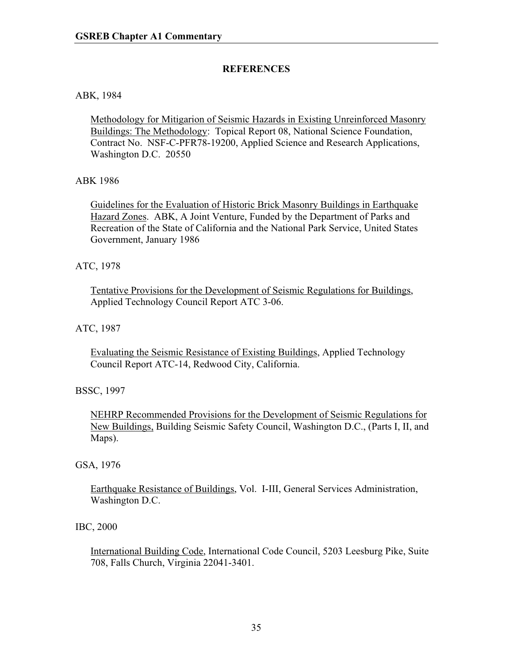### **REFERENCES**

#### ABK, 1984

Methodology for Mitigarion of Seismic Hazards in Existing Unreinforced Masonry Buildings: The Methodology: Topical Report 08, National Science Foundation, Contract No. NSF-C-PFR78-19200, Applied Science and Research Applications, Washington D.C. 20550

#### ABK 1986

Guidelines for the Evaluation of Historic Brick Masonry Buildings in Earthquake Hazard Zones. ABK, A Joint Venture, Funded by the Department of Parks and Recreation of the State of California and the National Park Service, United States Government, January 1986

#### ATC, 1978

Tentative Provisions for the Development of Seismic Regulations for Buildings, Applied Technology Council Report ATC 3-06.

#### ATC, 1987

Evaluating the Seismic Resistance of Existing Buildings, Applied Technology Council Report ATC-14, Redwood City, California.

### BSSC, 1997

NEHRP Recommended Provisions for the Development of Seismic Regulations for New Buildings, Building Seismic Safety Council, Washington D.C., (Parts I, II, and Maps).

#### GSA, 1976

Earthquake Resistance of Buildings, Vol. I-III, General Services Administration, Washington D.C.

### IBC, 2000

International Building Code, International Code Council, 5203 Leesburg Pike, Suite 708, Falls Church, Virginia 22041-3401.